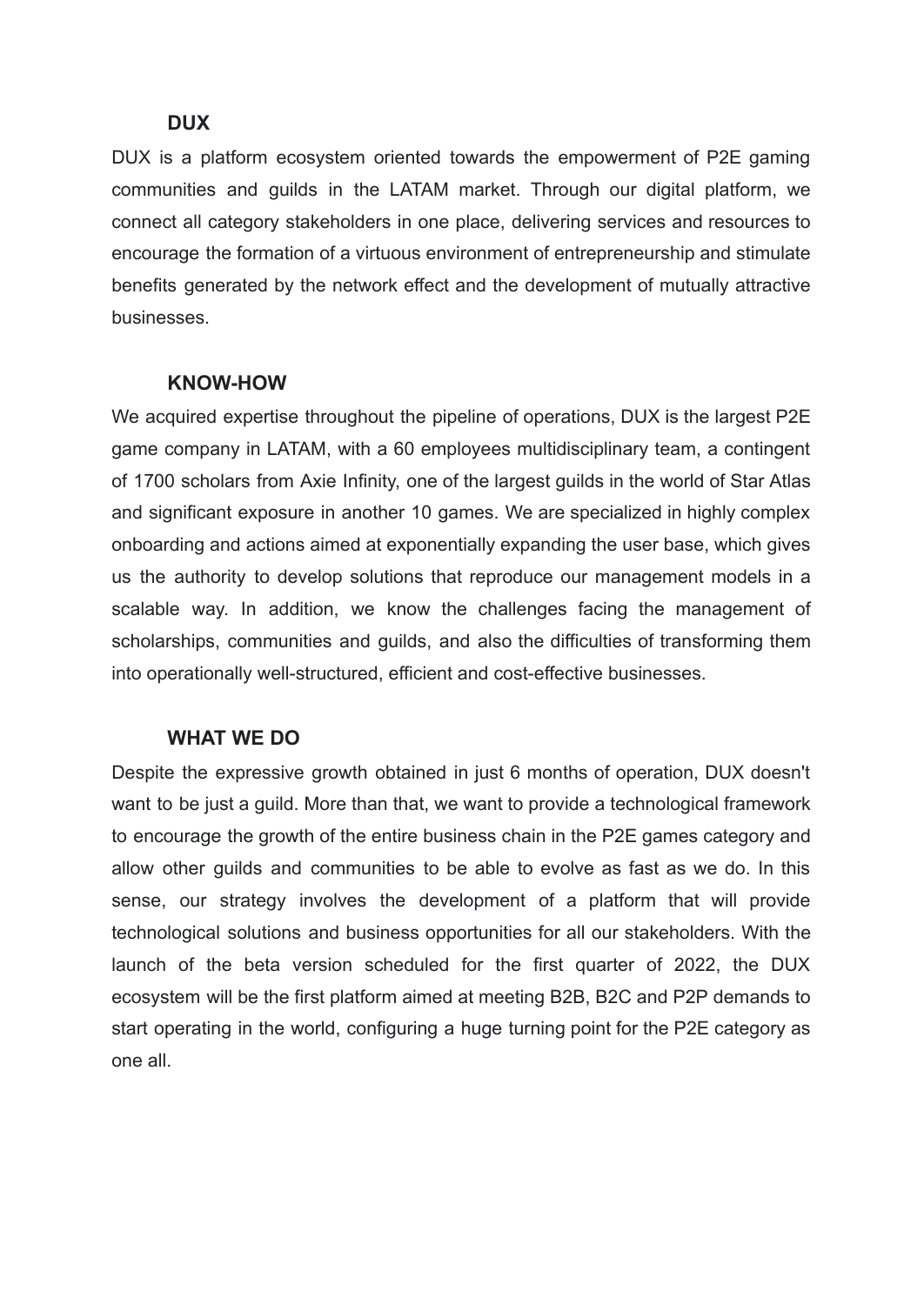### **DUX**

DUX is a platform ecosystem oriented towards the empowerment of P2E gaming communities and guilds in the LATAM market. Through our digital platform, we connect all category stakeholders in one place, delivering services and resources to encourage the formation of a virtuous environment of entrepreneurship and stimulate benefits generated by the network effect and the development of mutually attractive businesses.

### **KNOW-HOW**

We acquired expertise throughout the pipeline of operations, DUX is the largest P2E game company in LATAM, with a 60 employees multidisciplinary team, a contingent of 1700 scholars from Axie Infinity, one of the largest guilds in the world of Star Atlas and significant exposure in another 10 games. We are specialized in highly complex onboarding and actions aimed at exponentially expanding the user base, which gives us the authority to develop solutions that reproduce our management models in a scalable way. In addition, we know the challenges facing the management of scholarships, communities and guilds, and also the difficulties of transforming them into operationally well-structured, efficient and cost-effective businesses.

### **WHAT WE DO**

Despite the expressive growth obtained in just 6 months of operation, DUX doesn't want to be just a guild. More than that, we want to provide a technological framework to encourage the growth of the entire business chain in the P2E games category and allow other guilds and communities to be able to evolve as fast as we do. In this sense, our strategy involves the development of a platform that will provide technological solutions and business opportunities for all our stakeholders. With the launch of the beta version scheduled for the first quarter of 2022, the DUX ecosystem will be the first platform aimed at meeting B2B, B2C and P2P demands to start operating in the world, configuring a huge turning point for the P2E category as one all.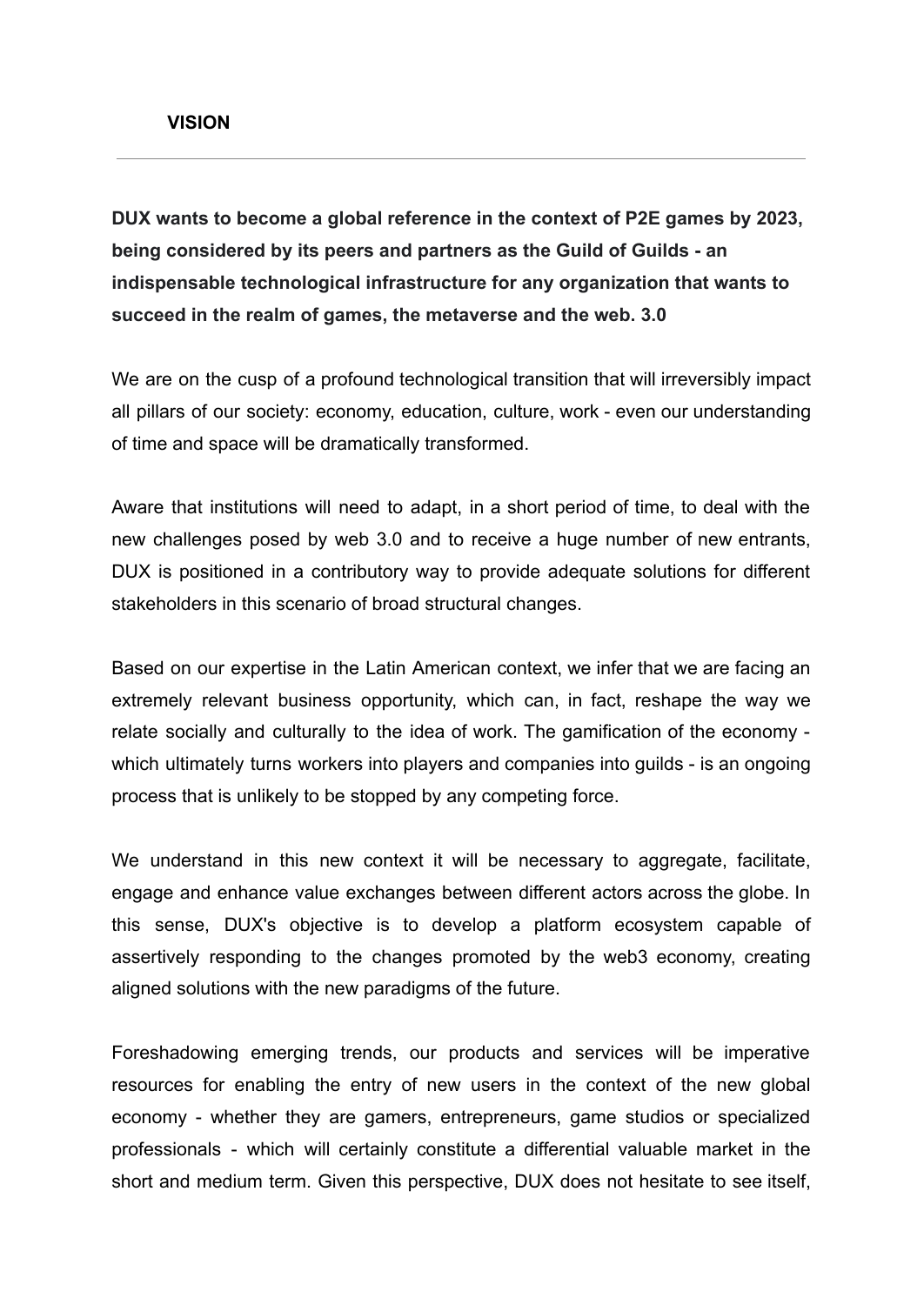**DUX wants to become a global reference in the context of P2E games by 2023, being considered by its peers and partners as the Guild of Guilds - an indispensable technological infrastructure for any organization that wants to succeed in the realm of games, the metaverse and the web. 3.0**

We are on the cusp of a profound technological transition that will irreversibly impact all pillars of our society: economy, education, culture, work - even our understanding of time and space will be dramatically transformed.

Aware that institutions will need to adapt, in a short period of time, to deal with the new challenges posed by web 3.0 and to receive a huge number of new entrants, DUX is positioned in a contributory way to provide adequate solutions for different stakeholders in this scenario of broad structural changes.

Based on our expertise in the Latin American context, we infer that we are facing an extremely relevant business opportunity, which can, in fact, reshape the way we relate socially and culturally to the idea of work. The gamification of the economy which ultimately turns workers into players and companies into guilds - is an ongoing process that is unlikely to be stopped by any competing force.

We understand in this new context it will be necessary to aggregate, facilitate, engage and enhance value exchanges between different actors across the globe. In this sense, DUX's objective is to develop a platform ecosystem capable of assertively responding to the changes promoted by the web3 economy, creating aligned solutions with the new paradigms of the future.

Foreshadowing emerging trends, our products and services will be imperative resources for enabling the entry of new users in the context of the new global economy - whether they are gamers, entrepreneurs, game studios or specialized professionals - which will certainly constitute a differential valuable market in the short and medium term. Given this perspective, DUX does not hesitate to see itself,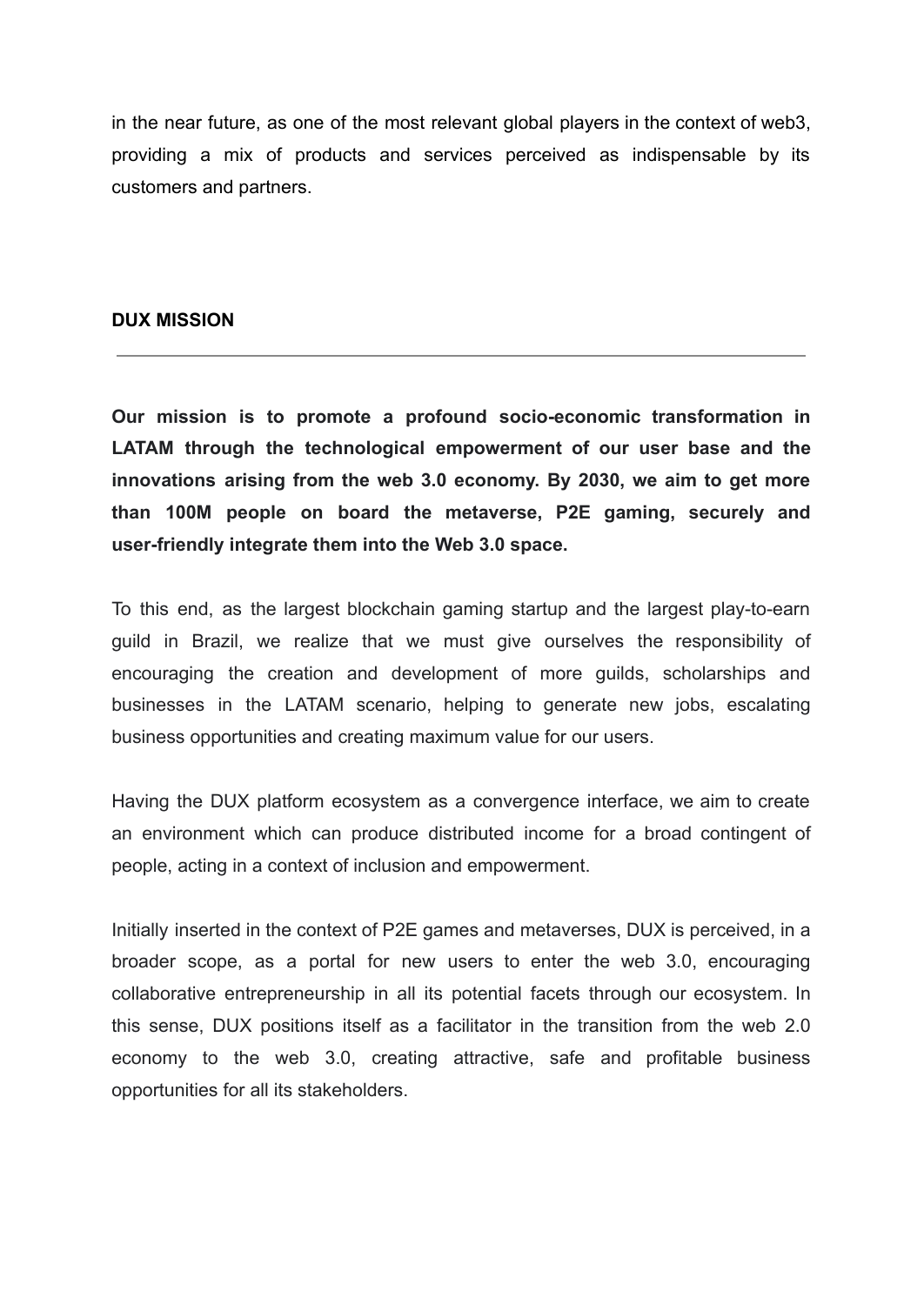in the near future, as one of the most relevant global players in the context of web3, providing a mix of products and services perceived as indispensable by its customers and partners.

#### **DUX MISSION**

**Our mission is to promote a profound socio-economic transformation in LATAM through the technological empowerment of our user base and the innovations arising from the web 3.0 economy. By 2030, we aim to get more than 100M people on board the metaverse, P2E gaming, securely and user-friendly integrate them into the Web 3.0 space.**

To this end, as the largest blockchain gaming startup and the largest play-to-earn guild in Brazil, we realize that we must give ourselves the responsibility of encouraging the creation and development of more guilds, scholarships and businesses in the LATAM scenario, helping to generate new jobs, escalating business opportunities and creating maximum value for our users.

Having the DUX platform ecosystem as a convergence interface, we aim to create an environment which can produce distributed income for a broad contingent of people, acting in a context of inclusion and empowerment.

Initially inserted in the context of P2E games and metaverses, DUX is perceived, in a broader scope, as a portal for new users to enter the web 3.0, encouraging collaborative entrepreneurship in all its potential facets through our ecosystem. In this sense, DUX positions itself as a facilitator in the transition from the web 2.0 economy to the web 3.0, creating attractive, safe and profitable business opportunities for all its stakeholders.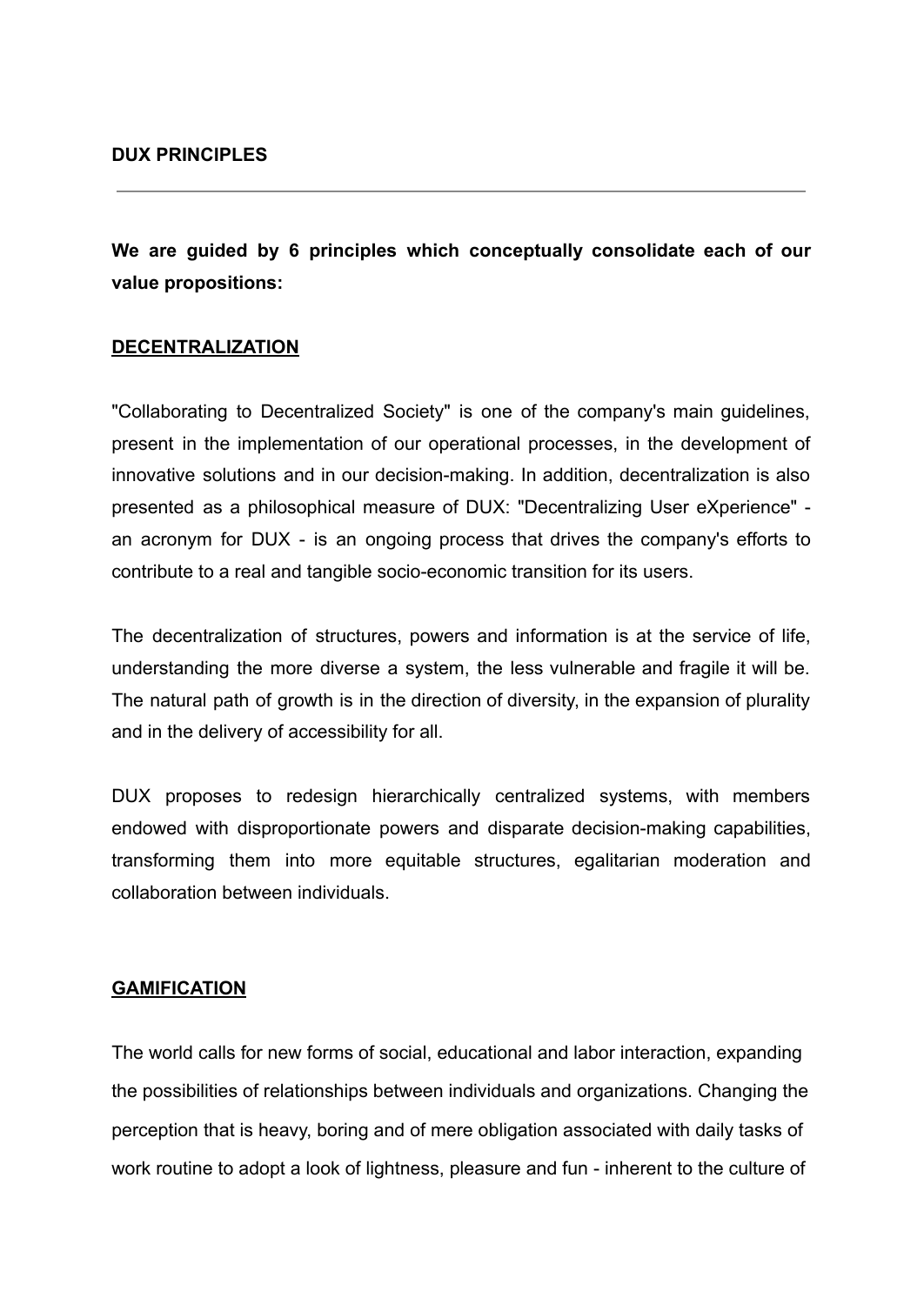**We are guided by 6 principles which conceptually consolidate each of our value propositions:**

#### **DECENTRALIZATION**

"Collaborating to Decentralized Society" is one of the company's main guidelines, present in the implementation of our operational processes, in the development of innovative solutions and in our decision-making. In addition, decentralization is also presented as a philosophical measure of DUX: "Decentralizing User eXperience" an acronym for DUX - is an ongoing process that drives the company's efforts to contribute to a real and tangible socio-economic transition for its users.

The decentralization of structures, powers and information is at the service of life, understanding the more diverse a system, the less vulnerable and fragile it will be. The natural path of growth is in the direction of diversity, in the expansion of plurality and in the delivery of accessibility for all.

DUX proposes to redesign hierarchically centralized systems, with members endowed with disproportionate powers and disparate decision-making capabilities, transforming them into more equitable structures, egalitarian moderation and collaboration between individuals.

#### **GAMIFICATION**

The world calls for new forms of social, educational and labor interaction, expanding the possibilities of relationships between individuals and organizations. Changing the perception that is heavy, boring and of mere obligation associated with daily tasks of work routine to adopt a look of lightness, pleasure and fun - inherent to the culture of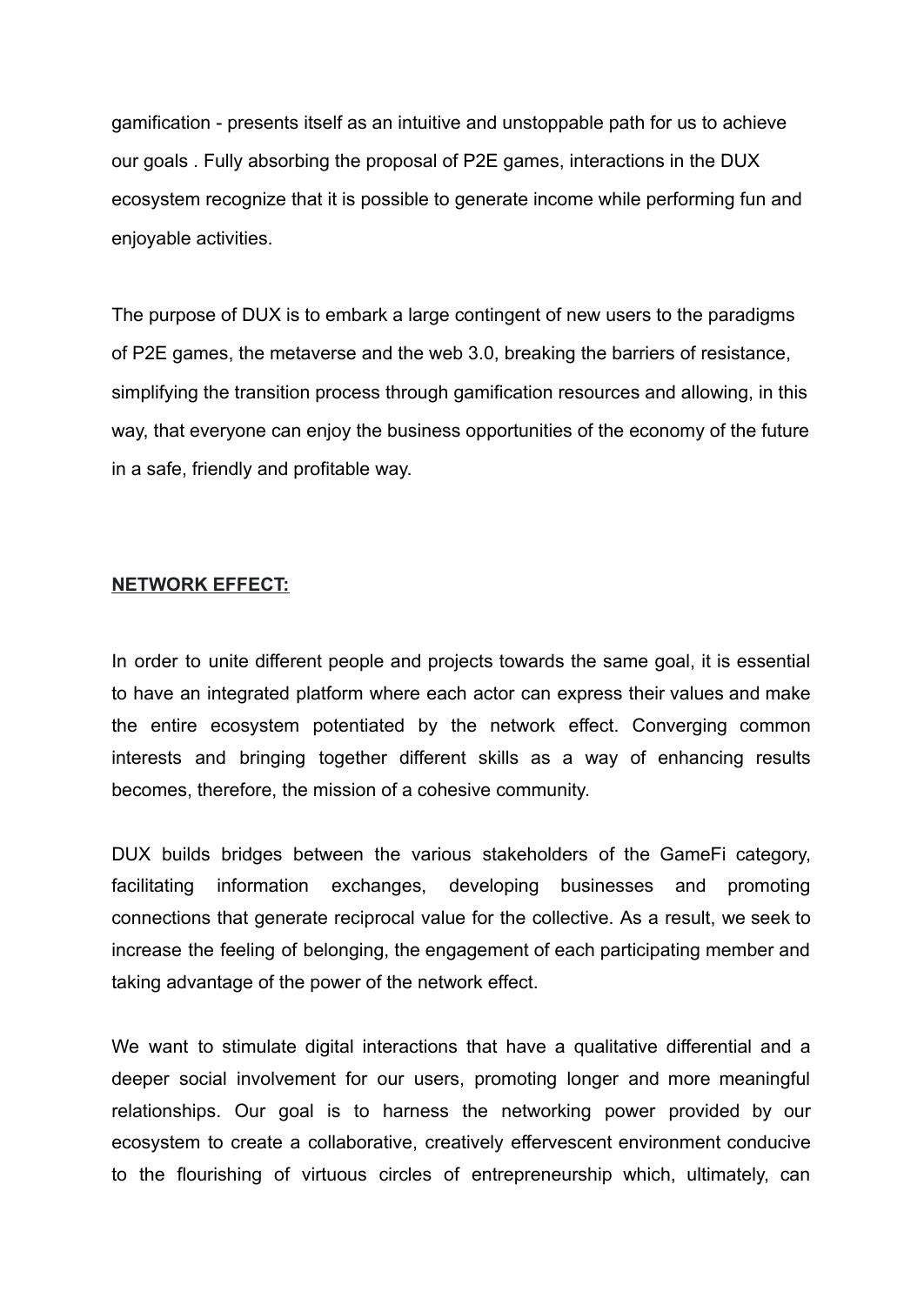gamification - presents itself as an intuitive and unstoppable path for us to achieve our goals . Fully absorbing the proposal of P2E games, interactions in the DUX ecosystem recognize that it is possible to generate income while performing fun and enjoyable activities.

The purpose of DUX is to embark a large contingent of new users to the paradigms of P2E games, the metaverse and the web 3.0, breaking the barriers of resistance, simplifying the transition process through gamification resources and allowing, in this way, that everyone can enjoy the business opportunities of the economy of the future in a safe, friendly and profitable way.

#### **NETWORK EFFECT:**

In order to unite different people and projects towards the same goal, it is essential to have an integrated platform where each actor can express their values and make the entire ecosystem potentiated by the network effect. Converging common interests and bringing together different skills as a way of enhancing results becomes, therefore, the mission of a cohesive community.

DUX builds bridges between the various stakeholders of the GameFi category, facilitating information exchanges, developing businesses and promoting connections that generate reciprocal value for the collective. As a result, we seek to increase the feeling of belonging, the engagement of each participating member and taking advantage of the power of the network effect.

We want to stimulate digital interactions that have a qualitative differential and a deeper social involvement for our users, promoting longer and more meaningful relationships. Our goal is to harness the networking power provided by our ecosystem to create a collaborative, creatively effervescent environment conducive to the flourishing of virtuous circles of entrepreneurship which, ultimately, can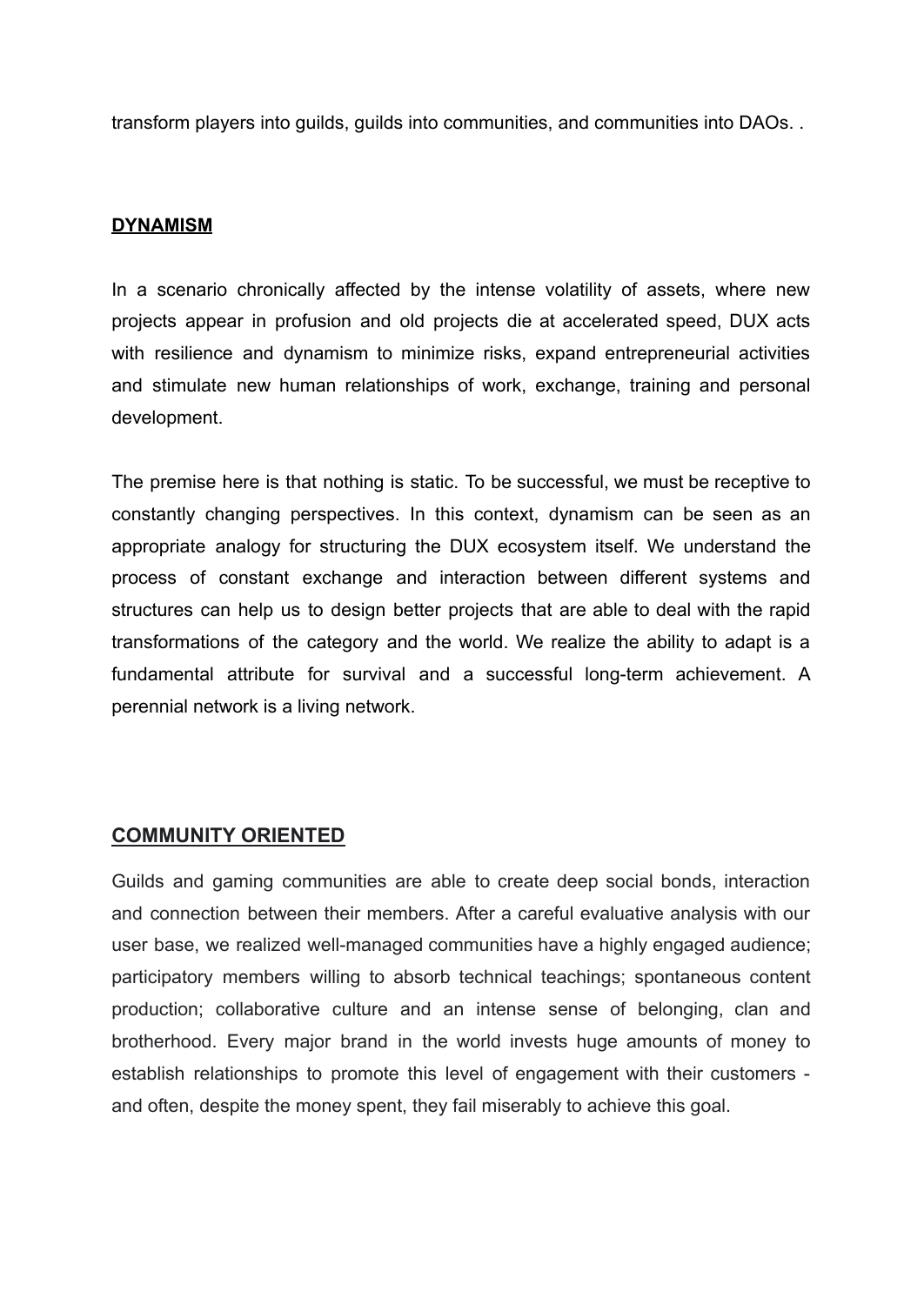transform players into guilds, guilds into communities, and communities into DAOs. .

#### **DYNAMISM**

In a scenario chronically affected by the intense volatility of assets, where new projects appear in profusion and old projects die at accelerated speed, DUX acts with resilience and dynamism to minimize risks, expand entrepreneurial activities and stimulate new human relationships of work, exchange, training and personal development.

The premise here is that nothing is static. To be successful, we must be receptive to constantly changing perspectives. In this context, dynamism can be seen as an appropriate analogy for structuring the DUX ecosystem itself. We understand the process of constant exchange and interaction between different systems and structures can help us to design better projects that are able to deal with the rapid transformations of the category and the world. We realize the ability to adapt is a fundamental attribute for survival and a successful long-term achievement. A perennial network is a living network.

### **COMMUNITY ORIENTED**

Guilds and gaming communities are able to create deep social bonds, interaction and connection between their members. After a careful evaluative analysis with our user base, we realized well-managed communities have a highly engaged audience; participatory members willing to absorb technical teachings; spontaneous content production; collaborative culture and an intense sense of belonging, clan and brotherhood. Every major brand in the world invests huge amounts of money to establish relationships to promote this level of engagement with their customers and often, despite the money spent, they fail miserably to achieve this goal.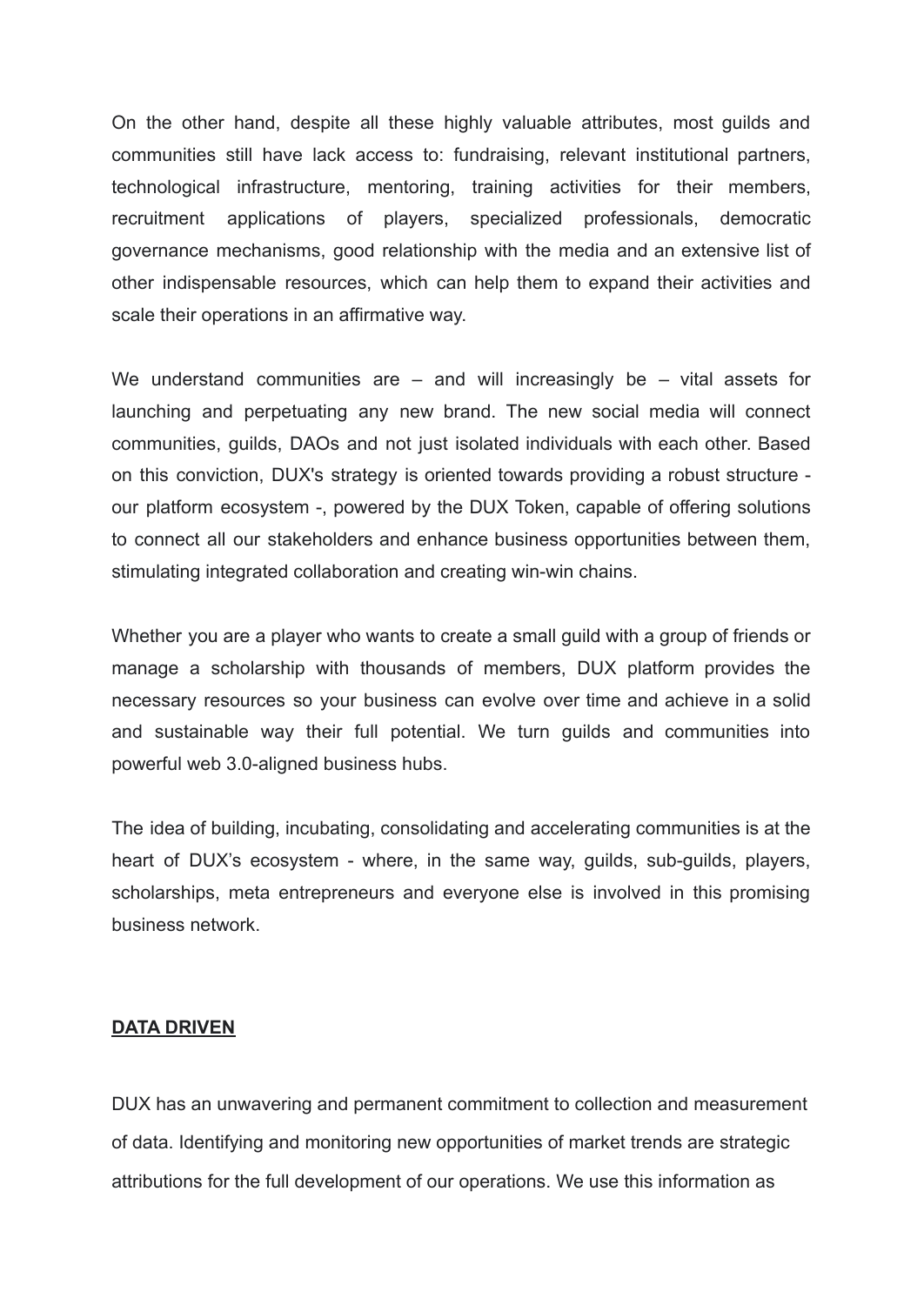On the other hand, despite all these highly valuable attributes, most guilds and communities still have lack access to: fundraising, relevant institutional partners, technological infrastructure, mentoring, training activities for their members, recruitment applications of players, specialized professionals, democratic governance mechanisms, good relationship with the media and an extensive list of other indispensable resources, which can help them to expand their activities and scale their operations in an affirmative way.

We understand communities are  $-$  and will increasingly be  $-$  vital assets for launching and perpetuating any new brand. The new social media will connect communities, guilds, DAOs and not just isolated individuals with each other. Based on this conviction, DUX's strategy is oriented towards providing a robust structure our platform ecosystem -, powered by the DUX Token, capable of offering solutions to connect all our stakeholders and enhance business opportunities between them, stimulating integrated collaboration and creating win-win chains.

Whether you are a player who wants to create a small guild with a group of friends or manage a scholarship with thousands of members, DUX platform provides the necessary resources so your business can evolve over time and achieve in a solid and sustainable way their full potential. We turn guilds and communities into powerful web 3.0-aligned business hubs.

The idea of building, incubating, consolidating and accelerating communities is at the heart of DUX's ecosystem - where, in the same way, guilds, sub-guilds, players, scholarships, meta entrepreneurs and everyone else is involved in this promising business network.

#### **DATA DRIVEN**

DUX has an unwavering and permanent commitment to collection and measurement of data. Identifying and monitoring new opportunities of market trends are strategic attributions for the full development of our operations. We use this information as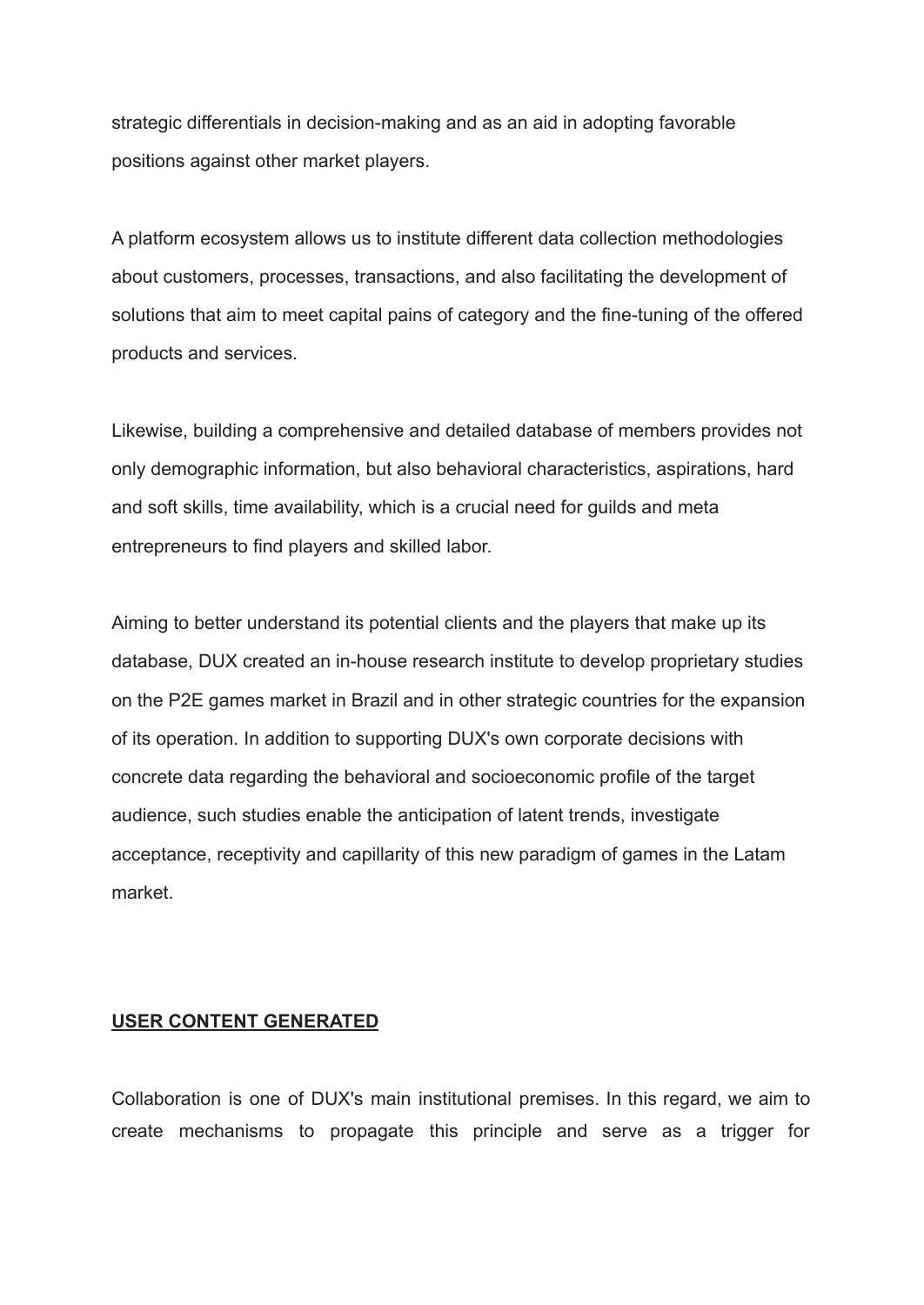strategic differentials in decision-making and as an aid in adopting favorable positions against other market players.

A platform ecosystem allows us to institute different data collection methodologies about customers, processes, transactions, and also facilitating the development of solutions that aim to meet capital pains of category and the fine-tuning of the offered products and services.

Likewise, building a comprehensive and detailed database of members provides not only demographic information, but also behavioral characteristics, aspirations, hard and soft skills, time availability, which is a crucial need for guilds and meta entrepreneurs to find players and skilled labor.

Aiming to better understand its potential clients and the players that make up its database, DUX created an in-house research institute to develop proprietary studies on the P2E games market in Brazil and in other strategic countries for the expansion of its operation. In addition to supporting DUX's own corporate decisions with concrete data regarding the behavioral and socioeconomic profile of the target audience, such studies enable the anticipation of latent trends, investigate acceptance, receptivity and capillarity of this new paradigm of games in the Latam market.

#### **USER CONTENT GENERATED**

Collaboration is one of DUX's main institutional premises. In this regard, we aim to create mechanisms to propagate this principle and serve as a trigger for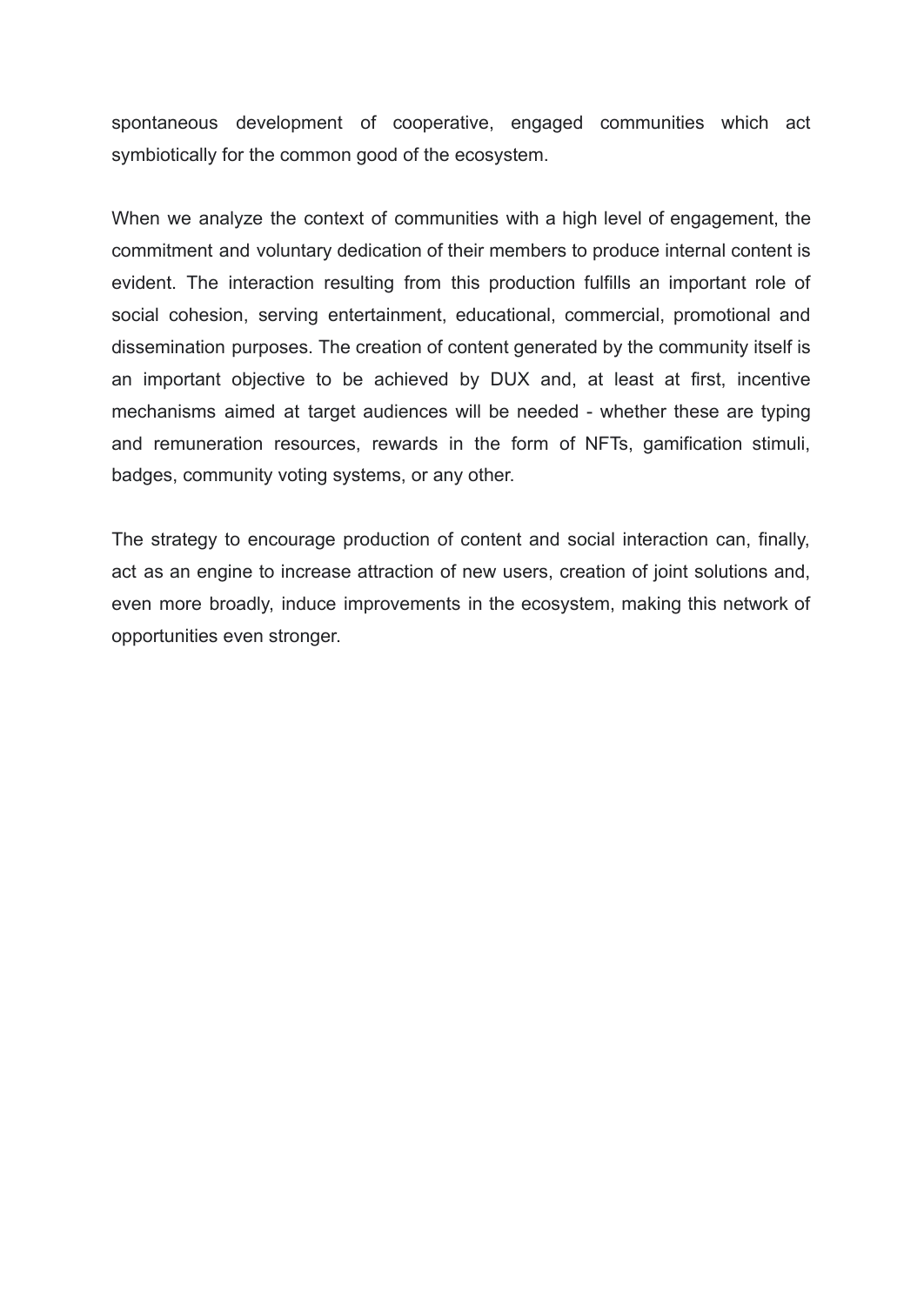spontaneous development of cooperative, engaged communities which act symbiotically for the common good of the ecosystem.

When we analyze the context of communities with a high level of engagement, the commitment and voluntary dedication of their members to produce internal content is evident. The interaction resulting from this production fulfills an important role of social cohesion, serving entertainment, educational, commercial, promotional and dissemination purposes. The creation of content generated by the community itself is an important objective to be achieved by DUX and, at least at first, incentive mechanisms aimed at target audiences will be needed - whether these are typing and remuneration resources, rewards in the form of NFTs, gamification stimuli, badges, community voting systems, or any other.

The strategy to encourage production of content and social interaction can, finally, act as an engine to increase attraction of new users, creation of joint solutions and, even more broadly, induce improvements in the ecosystem, making this network of opportunities even stronger.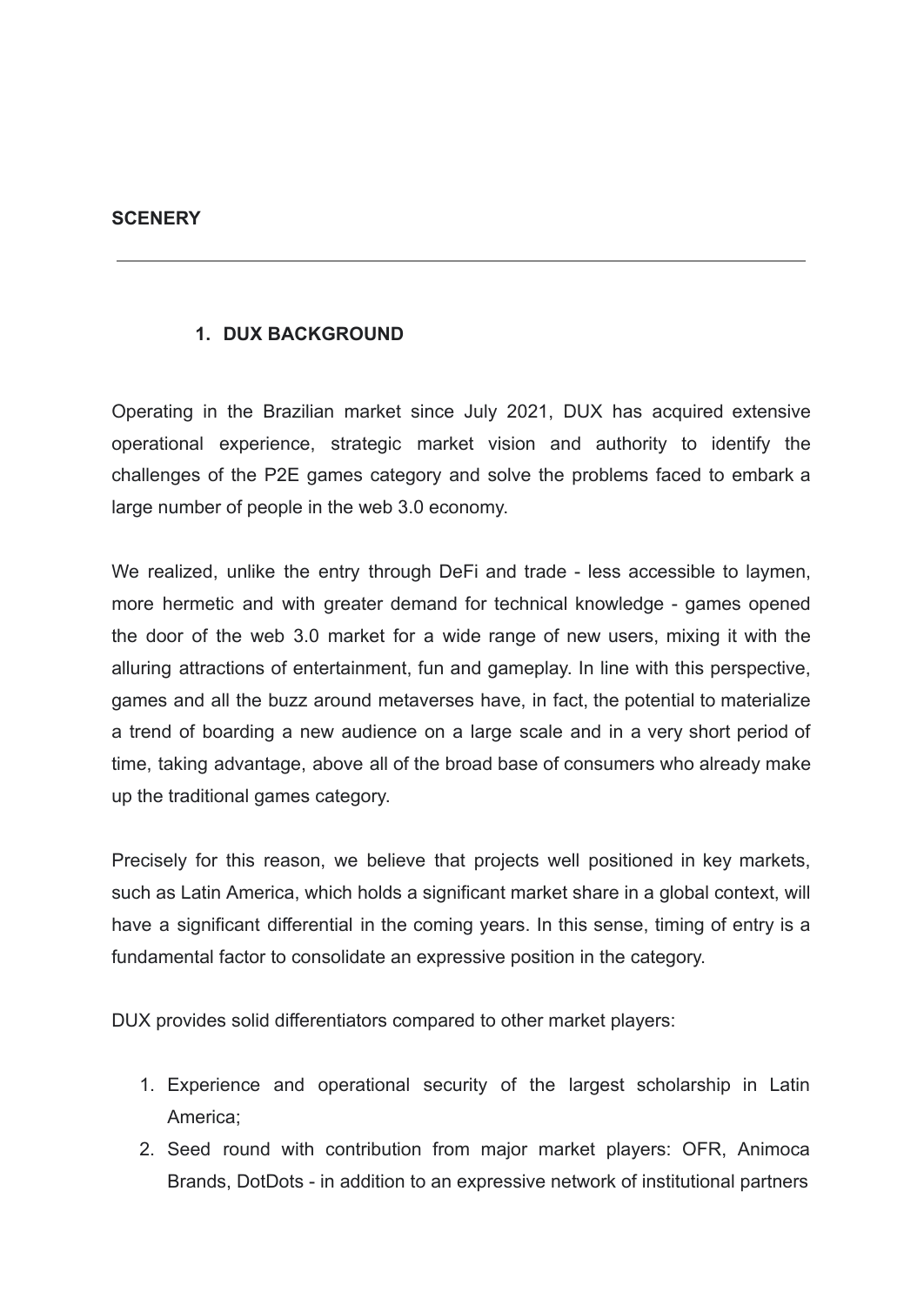#### **SCENERY**

### **1. DUX BACKGROUND**

Operating in the Brazilian market since July 2021, DUX has acquired extensive operational experience, strategic market vision and authority to identify the challenges of the P2E games category and solve the problems faced to embark a large number of people in the web 3.0 economy.

We realized, unlike the entry through DeFi and trade - less accessible to laymen, more hermetic and with greater demand for technical knowledge - games opened the door of the web 3.0 market for a wide range of new users, mixing it with the alluring attractions of entertainment, fun and gameplay. In line with this perspective, games and all the buzz around metaverses have, in fact, the potential to materialize a trend of boarding a new audience on a large scale and in a very short period of time, taking advantage, above all of the broad base of consumers who already make up the traditional games category.

Precisely for this reason, we believe that projects well positioned in key markets, such as Latin America, which holds a significant market share in a global context, will have a significant differential in the coming years. In this sense, timing of entry is a fundamental factor to consolidate an expressive position in the category.

DUX provides solid differentiators compared to other market players:

- 1. Experience and operational security of the largest scholarship in Latin America;
- 2. Seed round with contribution from major market players: OFR, Animoca Brands, DotDots - in addition to an expressive network of institutional partners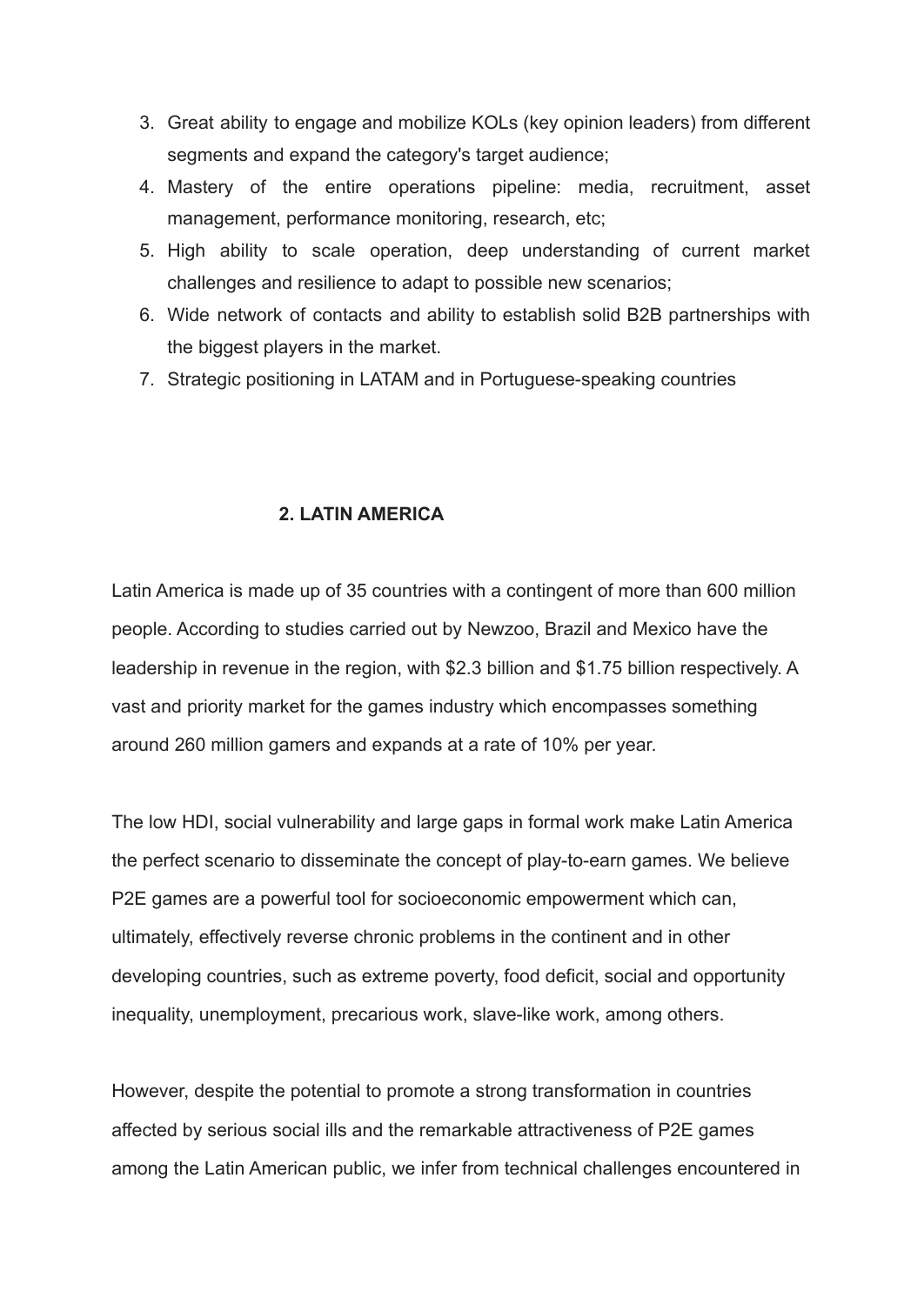- 3. Great ability to engage and mobilize KOLs (key opinion leaders) from different segments and expand the category's target audience;
- 4. Mastery of the entire operations pipeline: media, recruitment, asset management, performance monitoring, research, etc;
- 5. High ability to scale operation, deep understanding of current market challenges and resilience to adapt to possible new scenarios;
- 6. Wide network of contacts and ability to establish solid B2B partnerships with the biggest players in the market.
- 7. Strategic positioning in LATAM and in Portuguese-speaking countries

#### **2. LATIN AMERICA**

Latin America is made up of 35 countries with a contingent of more than 600 million people. According to studies carried out by Newzoo, Brazil and Mexico have the leadership in revenue in the region, with \$2.3 billion and \$1.75 billion respectively. A vast and priority market for the games industry which encompasses something around 260 million gamers and expands at a rate of 10% per year.

The low HDI, social vulnerability and large gaps in formal work make Latin America the perfect scenario to disseminate the concept of play-to-earn games. We believe P2E games are a powerful tool for socioeconomic empowerment which can, ultimately, effectively reverse chronic problems in the continent and in other developing countries, such as extreme poverty, food deficit, social and opportunity inequality, unemployment, precarious work, slave-like work, among others.

However, despite the potential to promote a strong transformation in countries affected by serious social ills and the remarkable attractiveness of P2E games among the Latin American public, we infer from technical challenges encountered in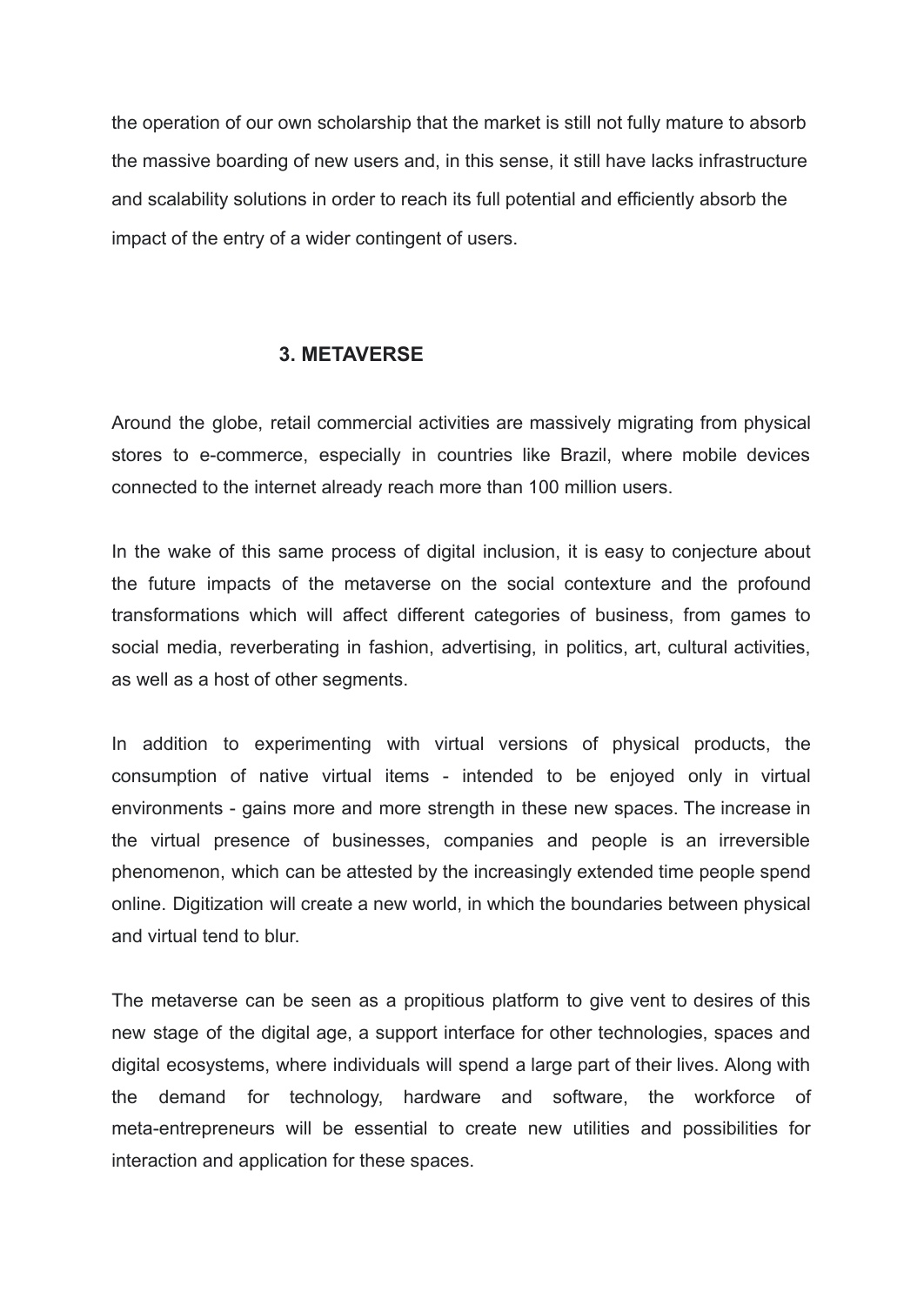the operation of our own scholarship that the market is still not fully mature to absorb the massive boarding of new users and, in this sense, it still have lacks infrastructure and scalability solutions in order to reach its full potential and efficiently absorb the impact of the entry of a wider contingent of users.

### **3. METAVERSE**

Around the globe, retail commercial activities are massively migrating from physical stores to e-commerce, especially in countries like Brazil, where mobile devices connected to the internet already reach more than 100 million users.

In the wake of this same process of digital inclusion, it is easy to conjecture about the future impacts of the metaverse on the social contexture and the profound transformations which will affect different categories of business, from games to social media, reverberating in fashion, advertising, in politics, art, cultural activities, as well as a host of other segments.

In addition to experimenting with virtual versions of physical products, the consumption of native virtual items - intended to be enjoyed only in virtual environments - gains more and more strength in these new spaces. The increase in the virtual presence of businesses, companies and people is an irreversible phenomenon, which can be attested by the increasingly extended time people spend online. Digitization will create a new world, in which the boundaries between physical and virtual tend to blur.

The metaverse can be seen as a propitious platform to give vent to desires of this new stage of the digital age, a support interface for other technologies, spaces and digital ecosystems, where individuals will spend a large part of their lives. Along with the demand for technology, hardware and software, the workforce of meta-entrepreneurs will be essential to create new utilities and possibilities for interaction and application for these spaces.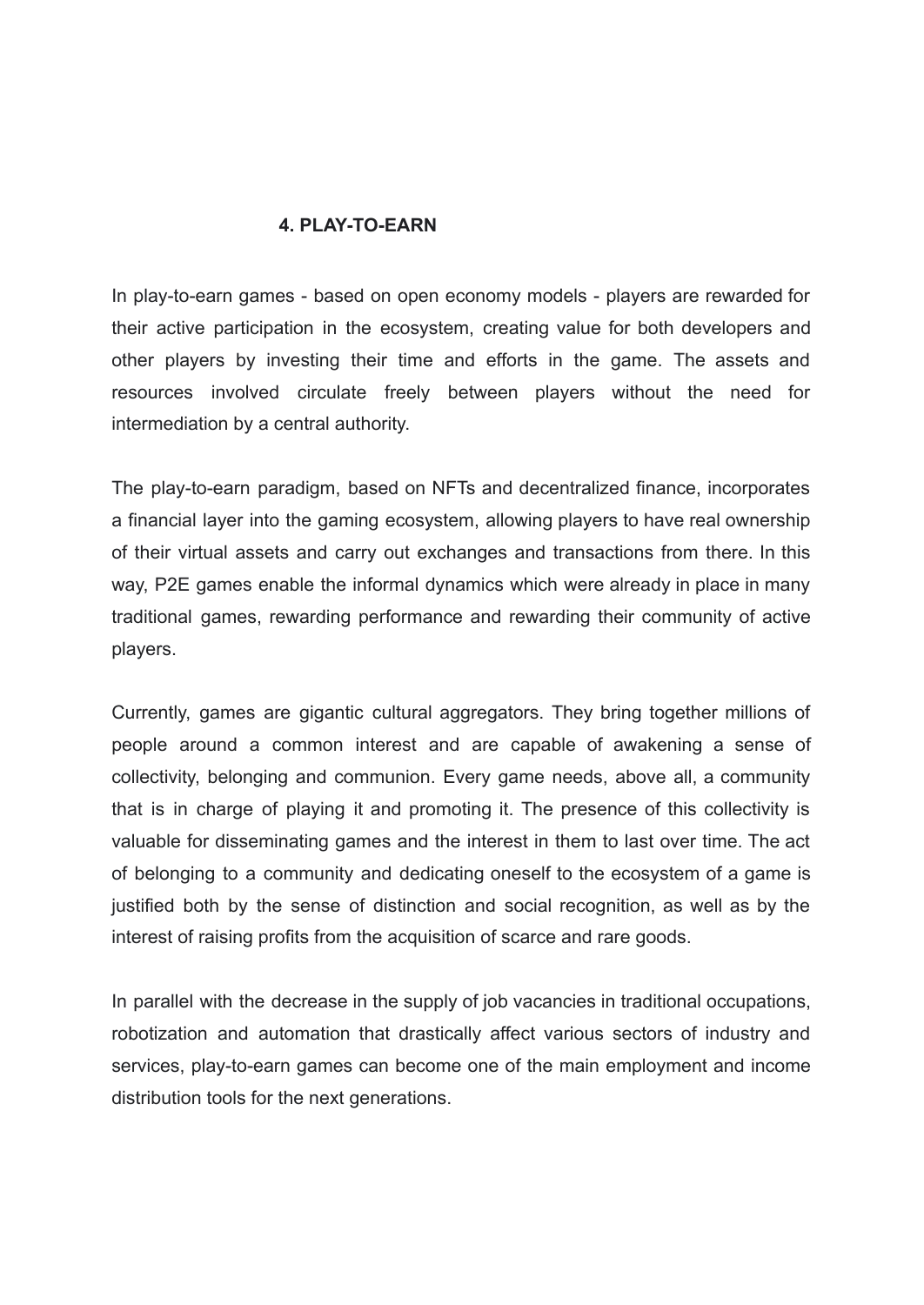#### **4. PLAY-TO-EARN**

In play-to-earn games - based on open economy models - players are rewarded for their active participation in the ecosystem, creating value for both developers and other players by investing their time and efforts in the game. The assets and resources involved circulate freely between players without the need for intermediation by a central authority.

The play-to-earn paradigm, based on NFTs and decentralized finance, incorporates a financial layer into the gaming ecosystem, allowing players to have real ownership of their virtual assets and carry out exchanges and transactions from there. In this way, P2E games enable the informal dynamics which were already in place in many traditional games, rewarding performance and rewarding their community of active players.

Currently, games are gigantic cultural aggregators. They bring together millions of people around a common interest and are capable of awakening a sense of collectivity, belonging and communion. Every game needs, above all, a community that is in charge of playing it and promoting it. The presence of this collectivity is valuable for disseminating games and the interest in them to last over time. The act of belonging to a community and dedicating oneself to the ecosystem of a game is justified both by the sense of distinction and social recognition, as well as by the interest of raising profits from the acquisition of scarce and rare goods.

In parallel with the decrease in the supply of job vacancies in traditional occupations, robotization and automation that drastically affect various sectors of industry and services, play-to-earn games can become one of the main employment and income distribution tools for the next generations.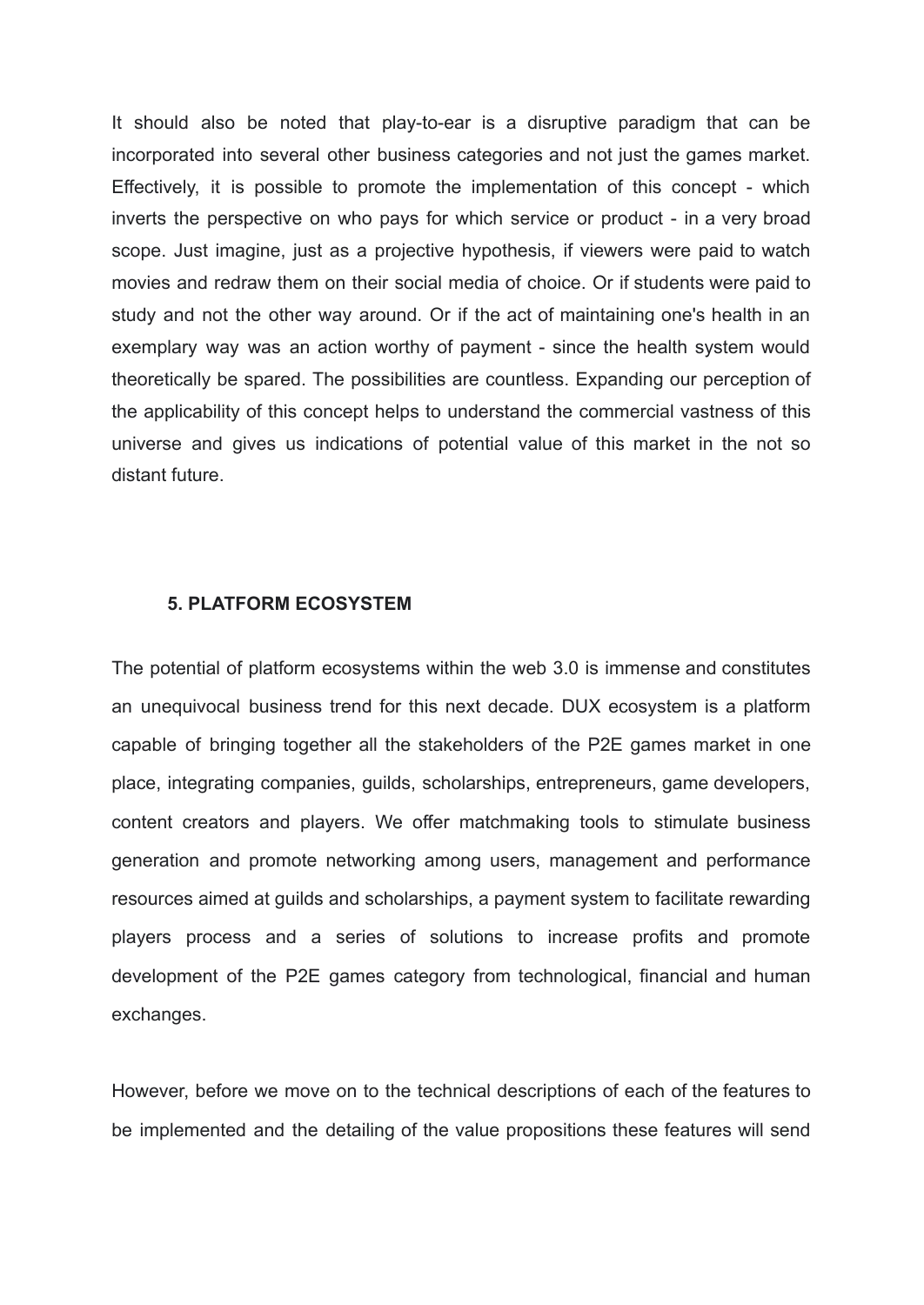It should also be noted that play-to-ear is a disruptive paradigm that can be incorporated into several other business categories and not just the games market. Effectively, it is possible to promote the implementation of this concept - which inverts the perspective on who pays for which service or product - in a very broad scope. Just imagine, just as a projective hypothesis, if viewers were paid to watch movies and redraw them on their social media of choice. Or if students were paid to study and not the other way around. Or if the act of maintaining one's health in an exemplary way was an action worthy of payment - since the health system would theoretically be spared. The possibilities are countless. Expanding our perception of the applicability of this concept helps to understand the commercial vastness of this universe and gives us indications of potential value of this market in the not so distant future.

#### **5. PLATFORM ECOSYSTEM**

The potential of platform ecosystems within the web 3.0 is immense and constitutes an unequivocal business trend for this next decade. DUX ecosystem is a platform capable of bringing together all the stakeholders of the P2E games market in one place, integrating companies, guilds, scholarships, entrepreneurs, game developers, content creators and players. We offer matchmaking tools to stimulate business generation and promote networking among users, management and performance resources aimed at guilds and scholarships, a payment system to facilitate rewarding players process and a series of solutions to increase profits and promote development of the P2E games category from technological, financial and human exchanges.

However, before we move on to the technical descriptions of each of the features to be implemented and the detailing of the value propositions these features will send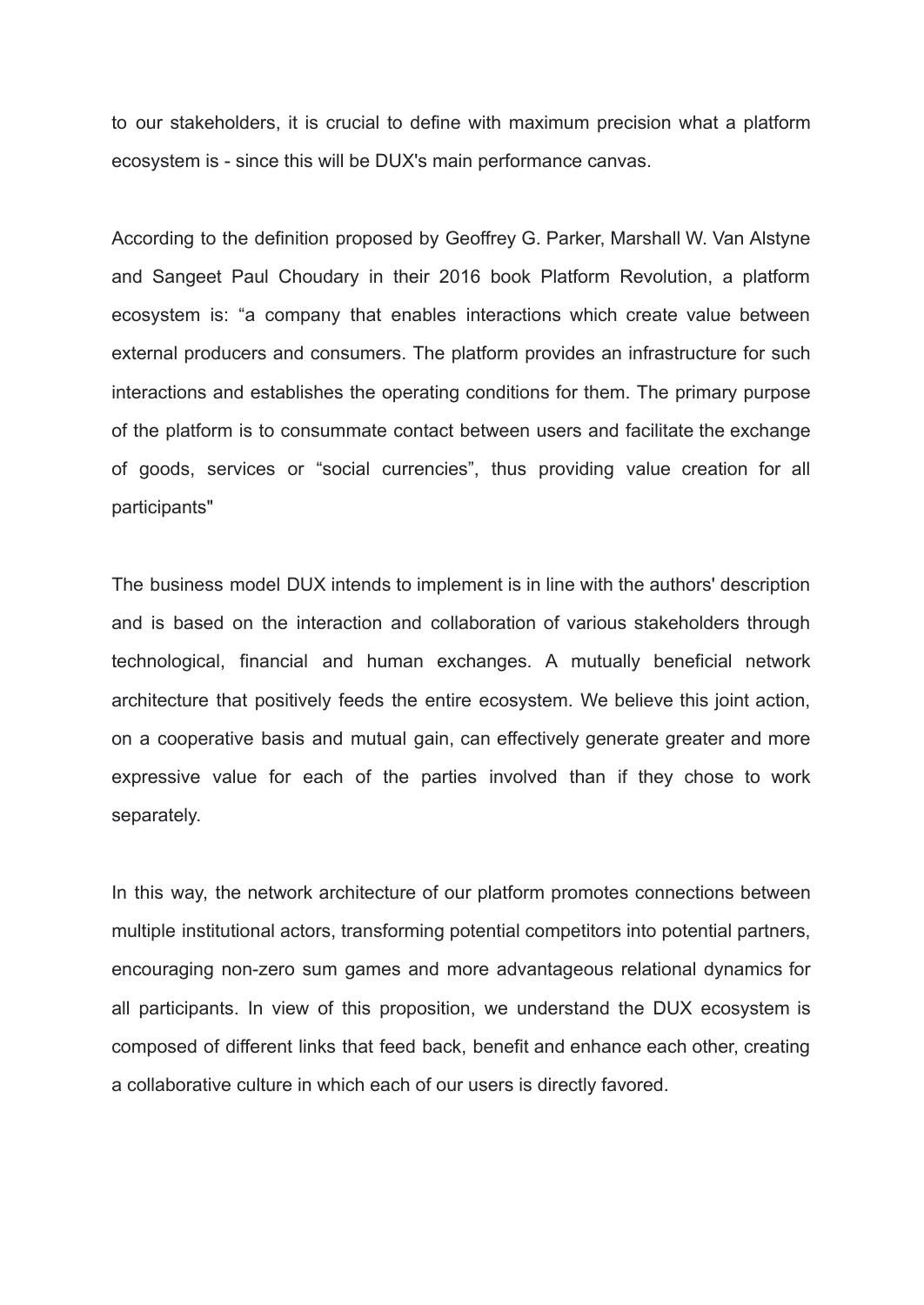to our stakeholders, it is crucial to define with maximum precision what a platform ecosystem is - since this will be DUX's main performance canvas.

According to the definition proposed by Geoffrey G. Parker, Marshall W. Van Alstyne and Sangeet Paul Choudary in their 2016 book Platform Revolution, a platform ecosystem is: "a company that enables interactions which create value between external producers and consumers. The platform provides an infrastructure for such interactions and establishes the operating conditions for them. The primary purpose of the platform is to consummate contact between users and facilitate the exchange of goods, services or "social currencies", thus providing value creation for all participants"

The business model DUX intends to implement is in line with the authors' description and is based on the interaction and collaboration of various stakeholders through technological, financial and human exchanges. A mutually beneficial network architecture that positively feeds the entire ecosystem. We believe this joint action, on a cooperative basis and mutual gain, can effectively generate greater and more expressive value for each of the parties involved than if they chose to work separately.

In this way, the network architecture of our platform promotes connections between multiple institutional actors, transforming potential competitors into potential partners, encouraging non-zero sum games and more advantageous relational dynamics for all participants. In view of this proposition, we understand the DUX ecosystem is composed of different links that feed back, benefit and enhance each other, creating a collaborative culture in which each of our users is directly favored.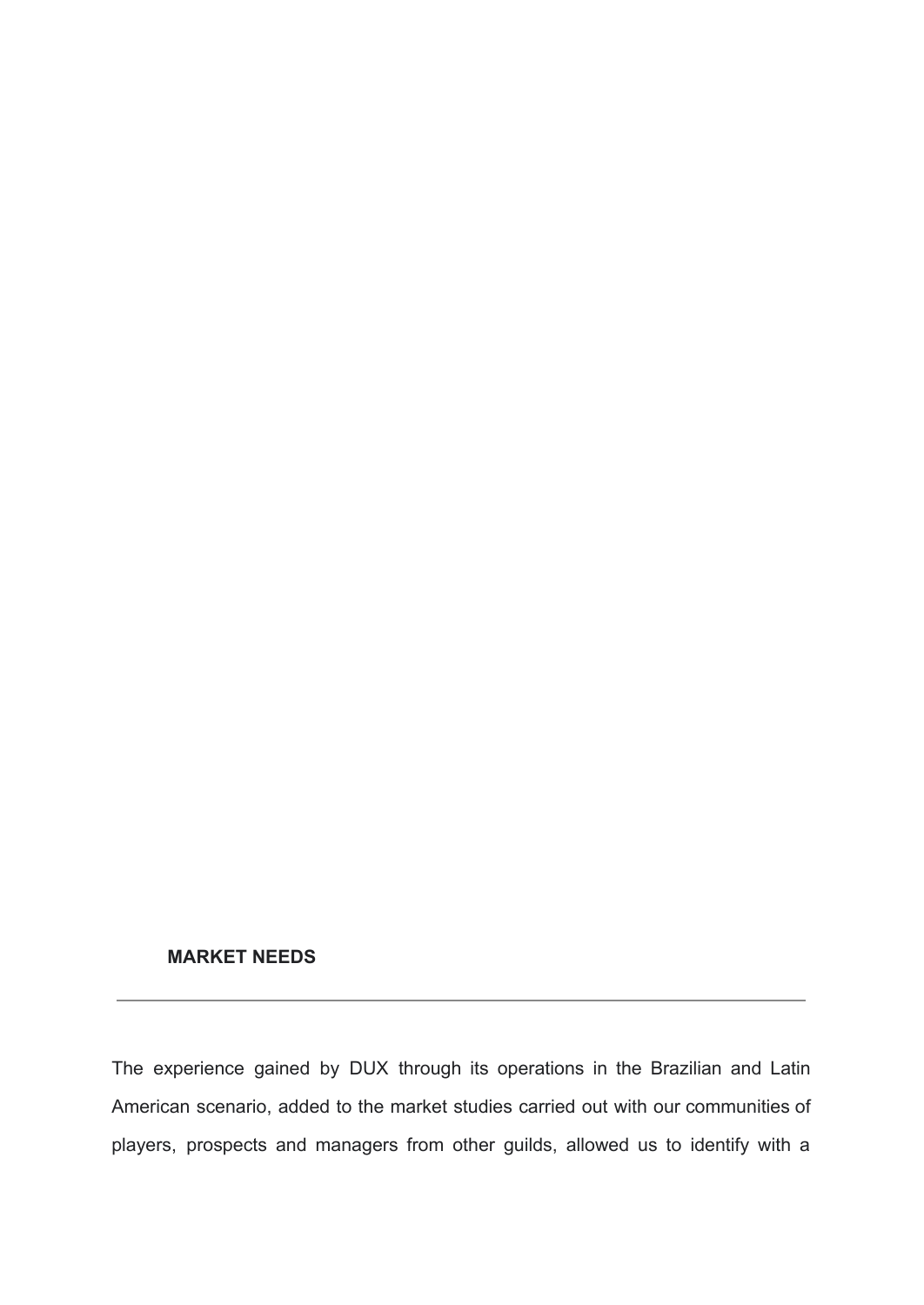### **MARKET NEEDS**

The experience gained by DUX through its operations in the Brazilian and Latin American scenario, added to the market studies carried out with our communities of players, prospects and managers from other guilds, allowed us to identify with a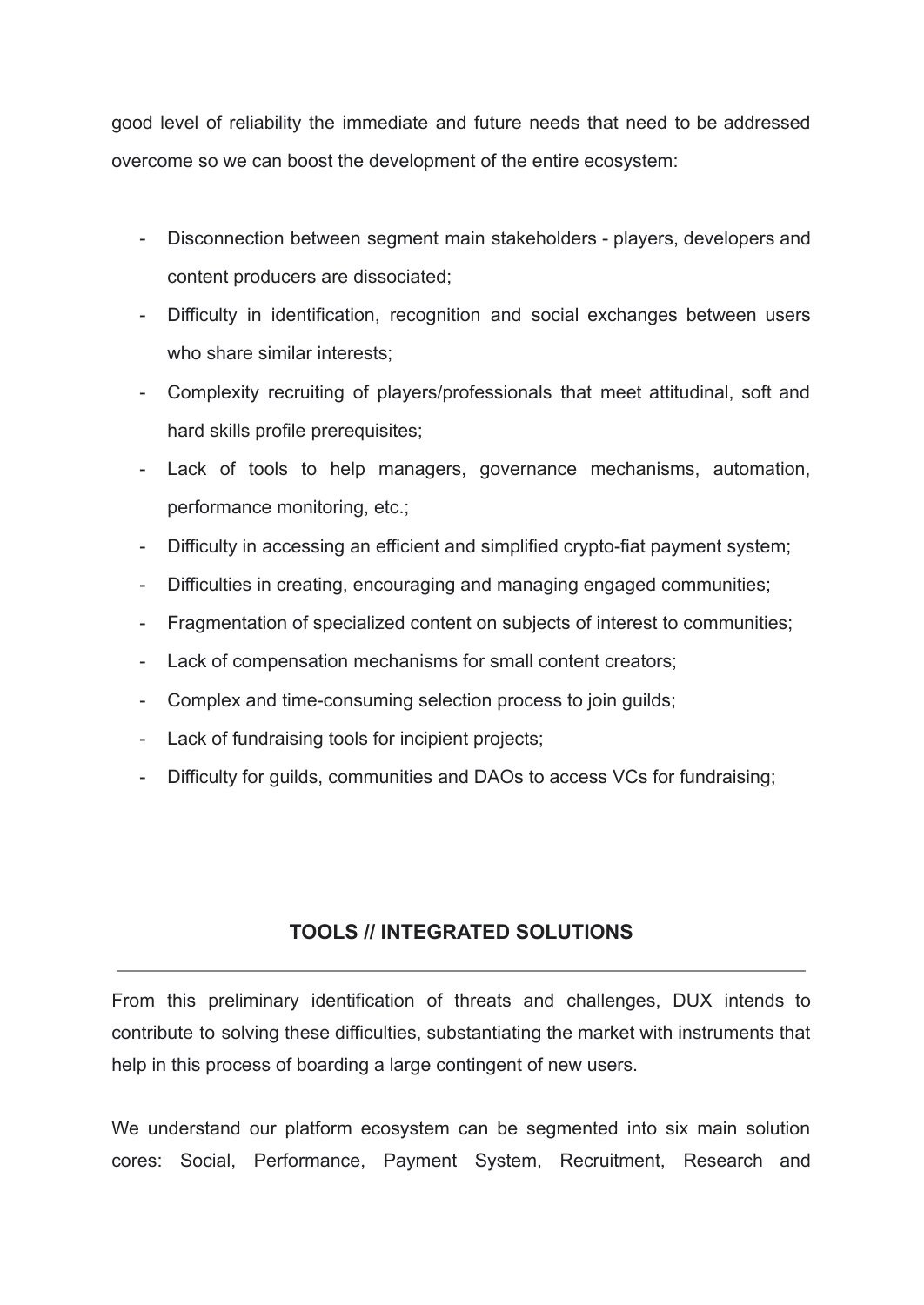good level of reliability the immediate and future needs that need to be addressed overcome so we can boost the development of the entire ecosystem:

- Disconnection between segment main stakeholders players, developers and content producers are dissociated;
- Difficulty in identification, recognition and social exchanges between users who share similar interests;
- Complexity recruiting of players/professionals that meet attitudinal, soft and hard skills profile prerequisites;
- Lack of tools to help managers, governance mechanisms, automation, performance monitoring, etc.;
- Difficulty in accessing an efficient and simplified crypto-fiat payment system;
- Difficulties in creating, encouraging and managing engaged communities;
- Fragmentation of specialized content on subjects of interest to communities;
- Lack of compensation mechanisms for small content creators;
- Complex and time-consuming selection process to join guilds;
- Lack of fundraising tools for incipient projects;
- Difficulty for guilds, communities and DAOs to access VCs for fundraising;

## **TOOLS // INTEGRATED SOLUTIONS**

From this preliminary identification of threats and challenges, DUX intends to contribute to solving these difficulties, substantiating the market with instruments that help in this process of boarding a large contingent of new users.

We understand our platform ecosystem can be segmented into six main solution cores: Social, Performance, Payment System, Recruitment, Research and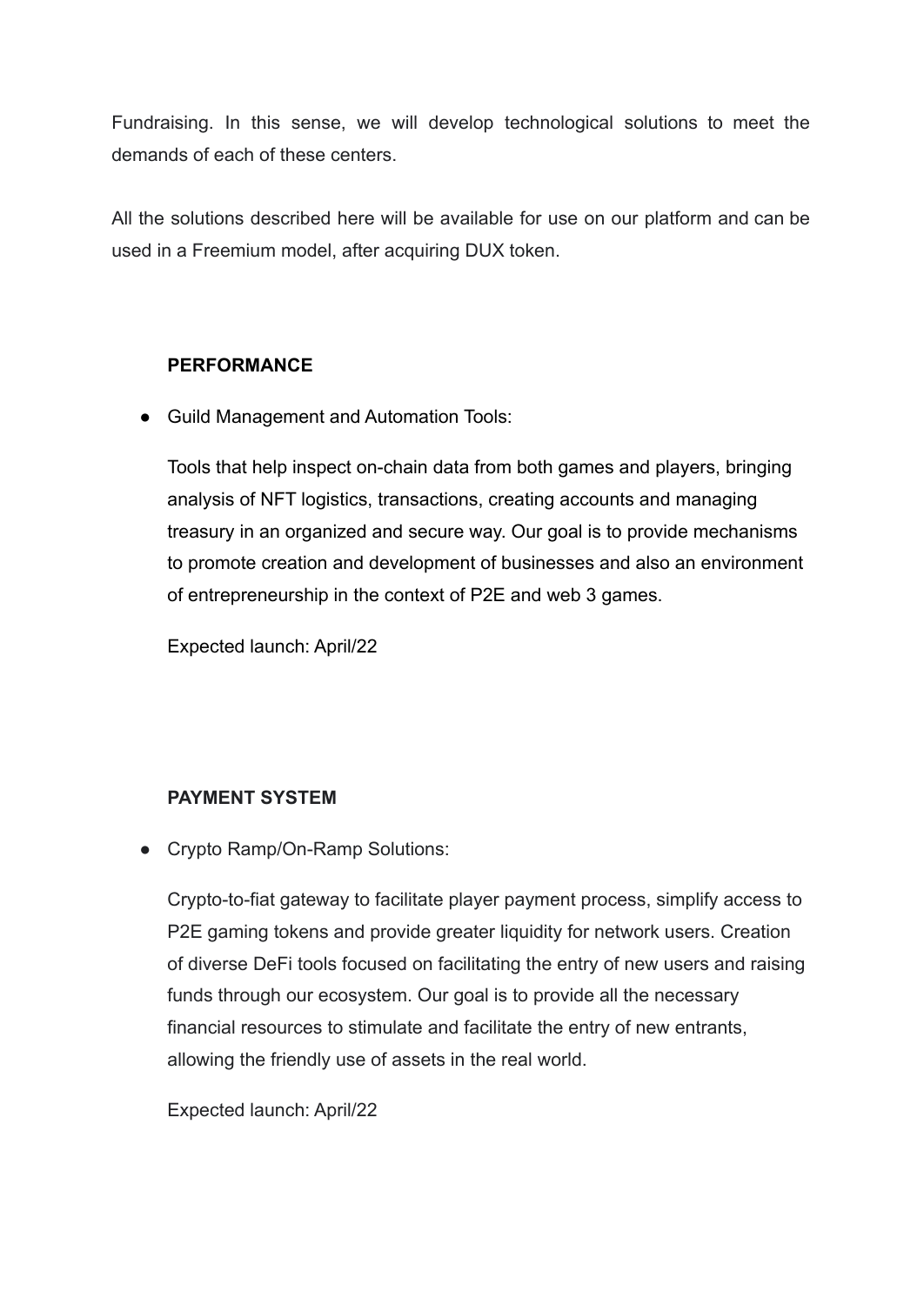Fundraising. In this sense, we will develop technological solutions to meet the demands of each of these centers.

All the solutions described here will be available for use on our platform and can be used in a Freemium model, after acquiring DUX token.

## **PERFORMANCE**

● Guild Management and Automation Tools:

Tools that help inspect on-chain data from both games and players, bringing analysis of NFT logistics, transactions, creating accounts and managing treasury in an organized and secure way. Our goal is to provide mechanisms to promote creation and development of businesses and also an environment of entrepreneurship in the context of P2E and web 3 games.

Expected launch: April/22

## **PAYMENT SYSTEM**

● Crypto Ramp/On-Ramp Solutions:

Crypto-to-fiat gateway to facilitate player payment process, simplify access to P2E gaming tokens and provide greater liquidity for network users. Creation of diverse DeFi tools focused on facilitating the entry of new users and raising funds through our ecosystem. Our goal is to provide all the necessary financial resources to stimulate and facilitate the entry of new entrants, allowing the friendly use of assets in the real world.

Expected launch: April/22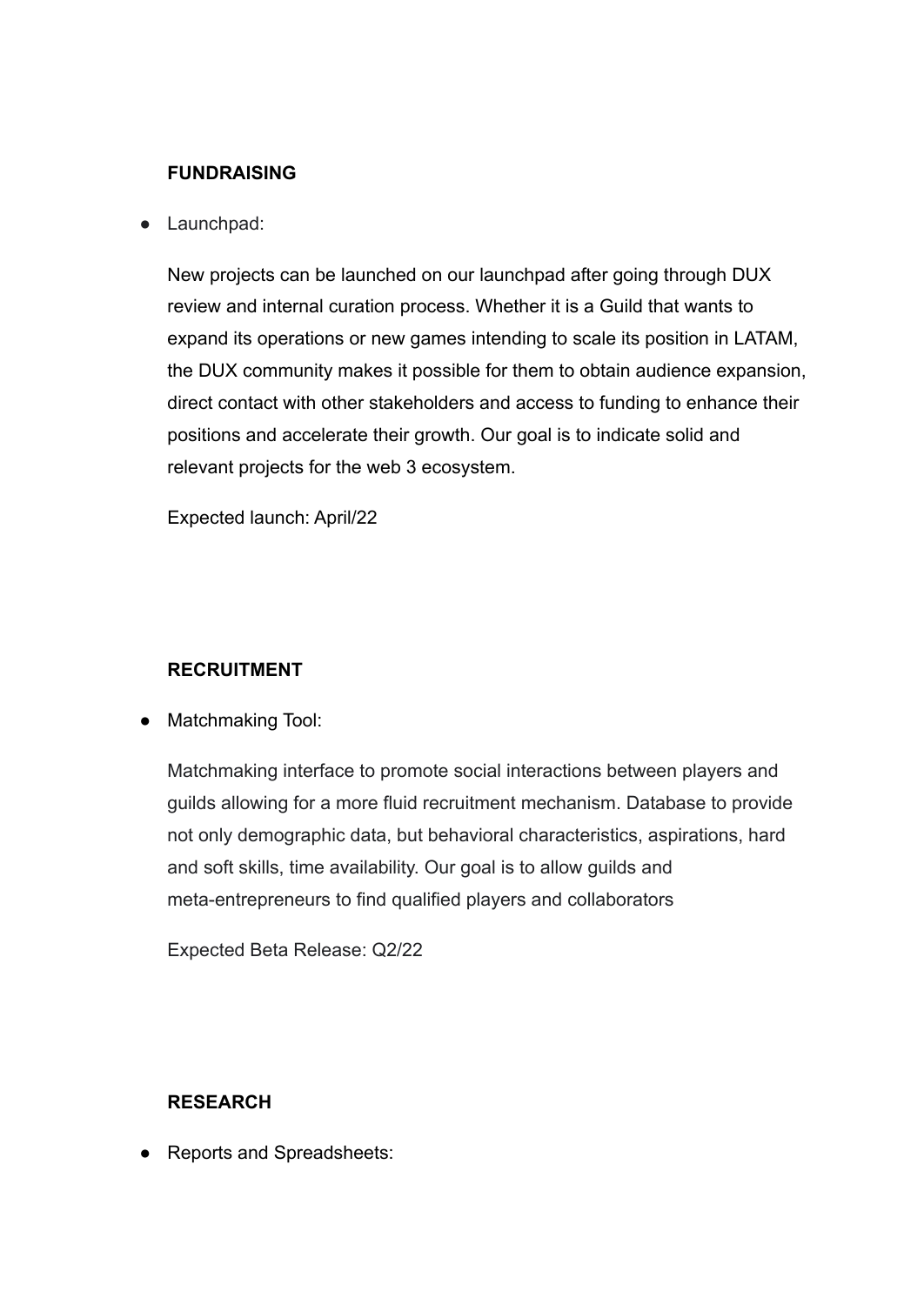## **FUNDRAISING**

● Launchpad:

New projects can be launched on our launchpad after going through DUX review and internal curation process. Whether it is a Guild that wants to expand its operations or new games intending to scale its position in LATAM, the DUX community makes it possible for them to obtain audience expansion, direct contact with other stakeholders and access to funding to enhance their positions and accelerate their growth. Our goal is to indicate solid and relevant projects for the web 3 ecosystem.

Expected launch: April/22

## **RECRUITMENT**

● Matchmaking Tool:

Matchmaking interface to promote social interactions between players and guilds allowing for a more fluid recruitment mechanism. Database to provide not only demographic data, but behavioral characteristics, aspirations, hard and soft skills, time availability. Our goal is to allow guilds and meta-entrepreneurs to find qualified players and collaborators

Expected Beta Release: Q2/22

### **RESEARCH**

● Reports and Spreadsheets: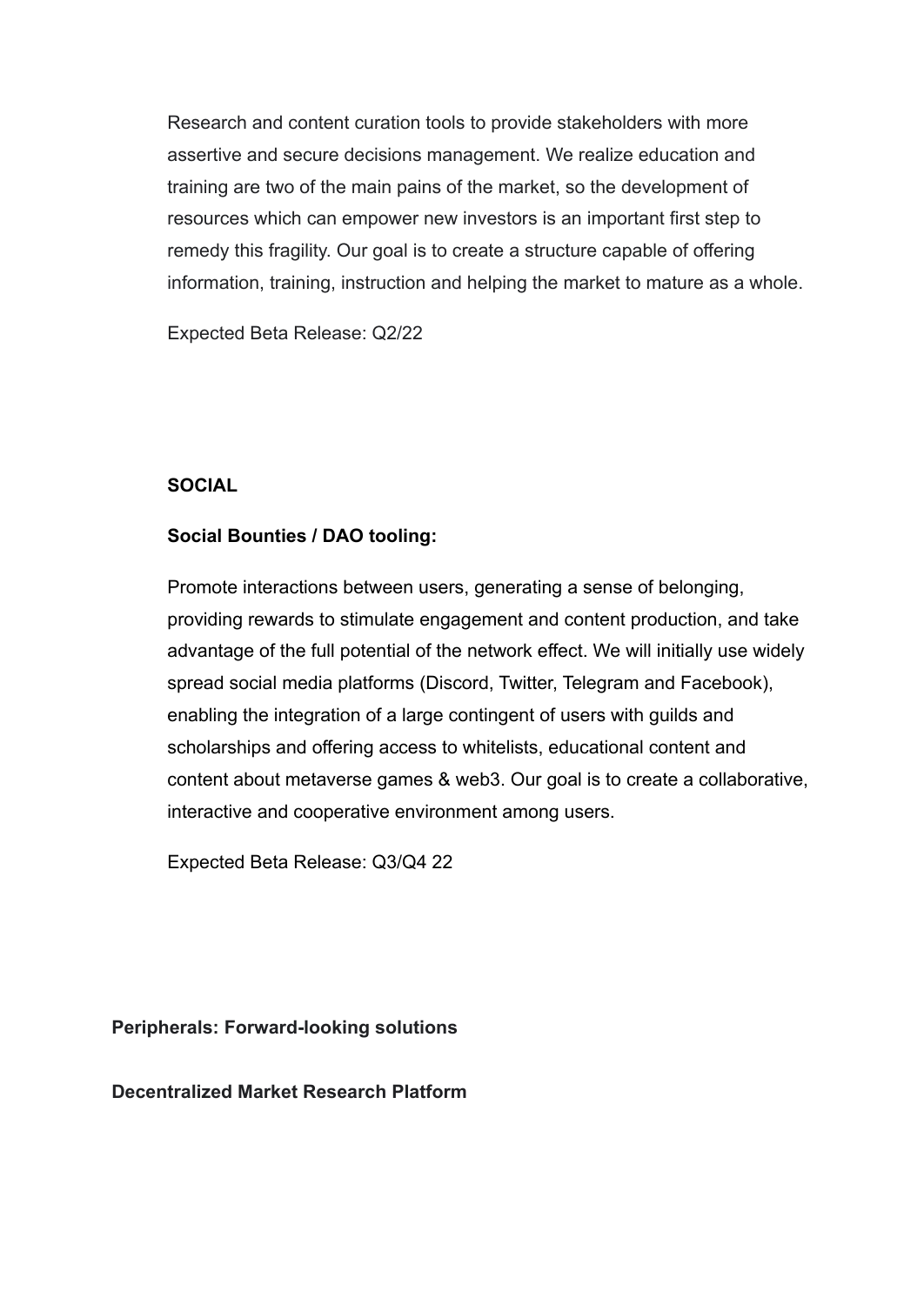Research and content curation tools to provide stakeholders with more assertive and secure decisions management. We realize education and training are two of the main pains of the market, so the development of resources which can empower new investors is an important first step to remedy this fragility. Our goal is to create a structure capable of offering information, training, instruction and helping the market to mature as a whole.

Expected Beta Release: Q2/22

## **SOCIAL**

## **Social Bounties / DAO tooling:**

Promote interactions between users, generating a sense of belonging, providing rewards to stimulate engagement and content production, and take advantage of the full potential of the network effect. We will initially use widely spread social media platforms (Discord, Twitter, Telegram and Facebook), enabling the integration of a large contingent of users with guilds and scholarships and offering access to whitelists, educational content and content about metaverse games & web3. Our goal is to create a collaborative, interactive and cooperative environment among users.

Expected Beta Release: Q3/Q4 22

**Peripherals: Forward-looking solutions**

**Decentralized Market Research Platform**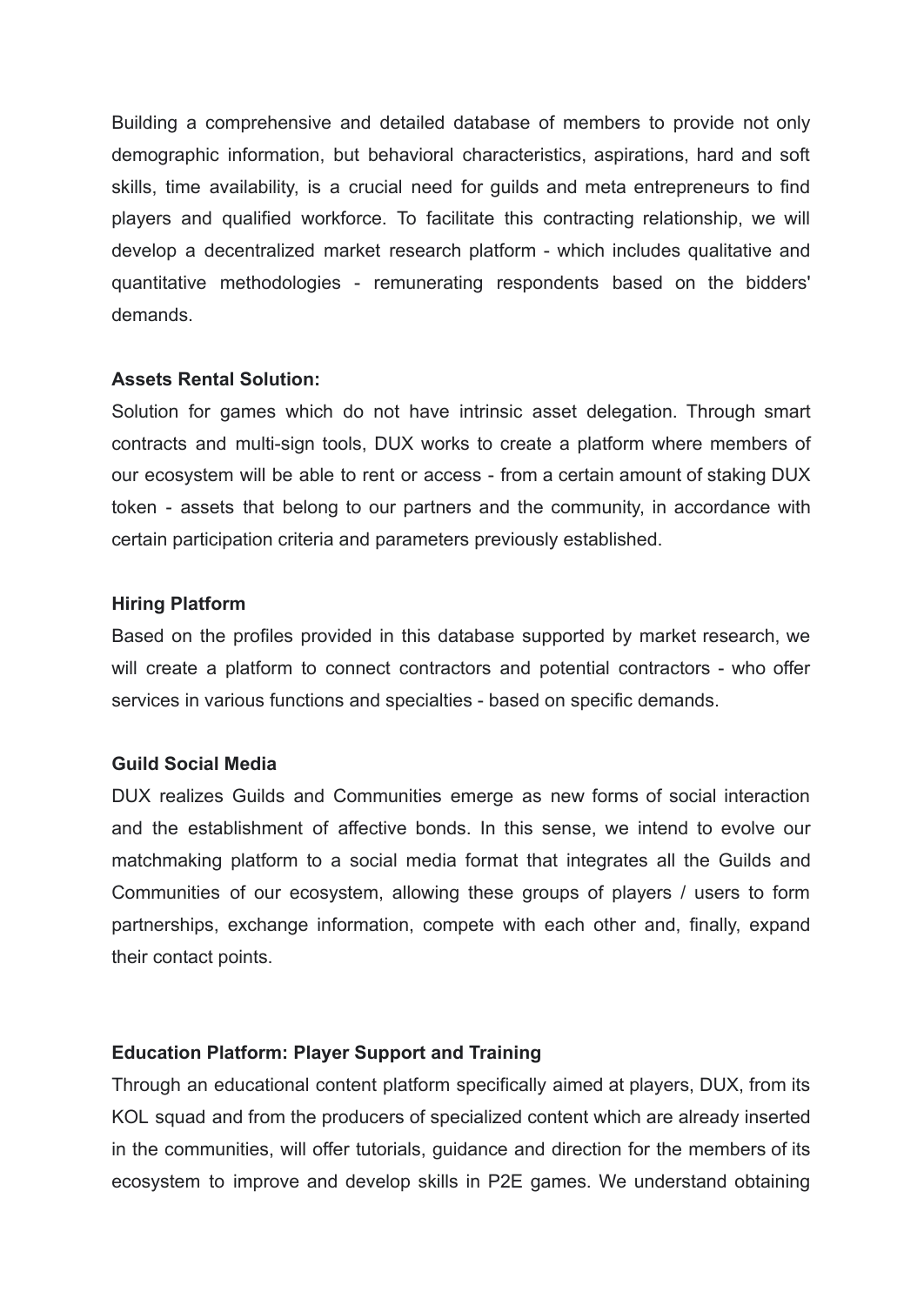Building a comprehensive and detailed database of members to provide not only demographic information, but behavioral characteristics, aspirations, hard and soft skills, time availability, is a crucial need for guilds and meta entrepreneurs to find players and qualified workforce. To facilitate this contracting relationship, we will develop a decentralized market research platform - which includes qualitative and quantitative methodologies - remunerating respondents based on the bidders' demands.

#### **Assets Rental Solution:**

Solution for games which do not have intrinsic asset delegation. Through smart contracts and multi-sign tools, DUX works to create a platform where members of our ecosystem will be able to rent or access - from a certain amount of staking DUX token - assets that belong to our partners and the community, in accordance with certain participation criteria and parameters previously established.

#### **Hiring Platform**

Based on the profiles provided in this database supported by market research, we will create a platform to connect contractors and potential contractors - who offer services in various functions and specialties - based on specific demands.

### **Guild Social Media**

DUX realizes Guilds and Communities emerge as new forms of social interaction and the establishment of affective bonds. In this sense, we intend to evolve our matchmaking platform to a social media format that integrates all the Guilds and Communities of our ecosystem, allowing these groups of players / users to form partnerships, exchange information, compete with each other and, finally, expand their contact points.

### **Education Platform: Player Support and Training**

Through an educational content platform specifically aimed at players, DUX, from its KOL squad and from the producers of specialized content which are already inserted in the communities, will offer tutorials, guidance and direction for the members of its ecosystem to improve and develop skills in P2E games. We understand obtaining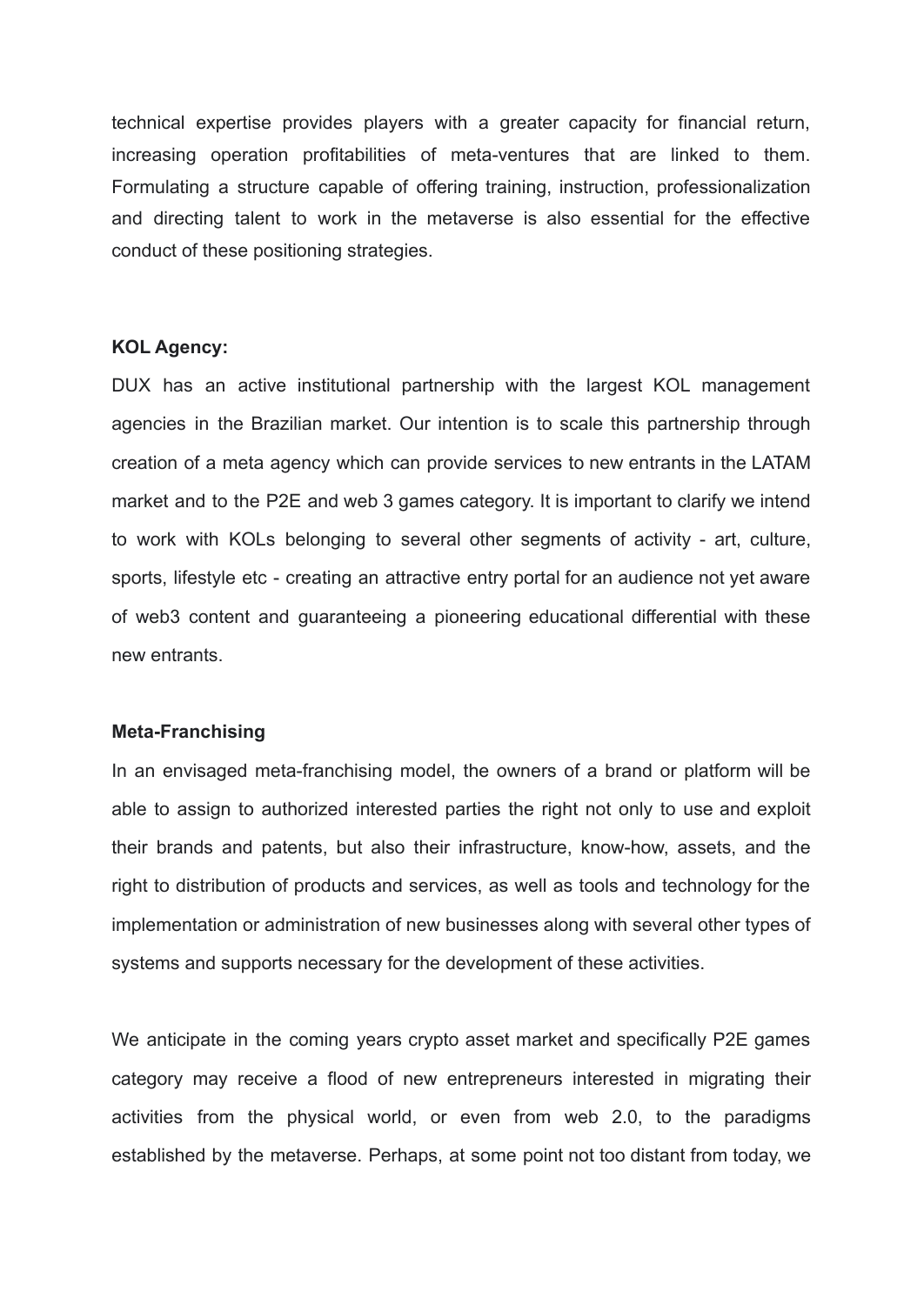technical expertise provides players with a greater capacity for financial return, increasing operation profitabilities of meta-ventures that are linked to them. Formulating a structure capable of offering training, instruction, professionalization and directing talent to work in the metaverse is also essential for the effective conduct of these positioning strategies.

#### **KOL Agency:**

DUX has an active institutional partnership with the largest KOL management agencies in the Brazilian market. Our intention is to scale this partnership through creation of a meta agency which can provide services to new entrants in the LATAM market and to the P2E and web 3 games category. It is important to clarify we intend to work with KOLs belonging to several other segments of activity - art, culture, sports, lifestyle etc - creating an attractive entry portal for an audience not yet aware of web3 content and guaranteeing a pioneering educational differential with these new entrants.

#### **Meta-Franchising**

In an envisaged meta-franchising model, the owners of a brand or platform will be able to assign to authorized interested parties the right not only to use and exploit their brands and patents, but also their infrastructure, know-how, assets, and the right to distribution of products and services, as well as tools and technology for the implementation or administration of new businesses along with several other types of systems and supports necessary for the development of these activities.

We anticipate in the coming years crypto asset market and specifically P2E games category may receive a flood of new entrepreneurs interested in migrating their activities from the physical world, or even from web 2.0, to the paradigms established by the metaverse. Perhaps, at some point not too distant from today, we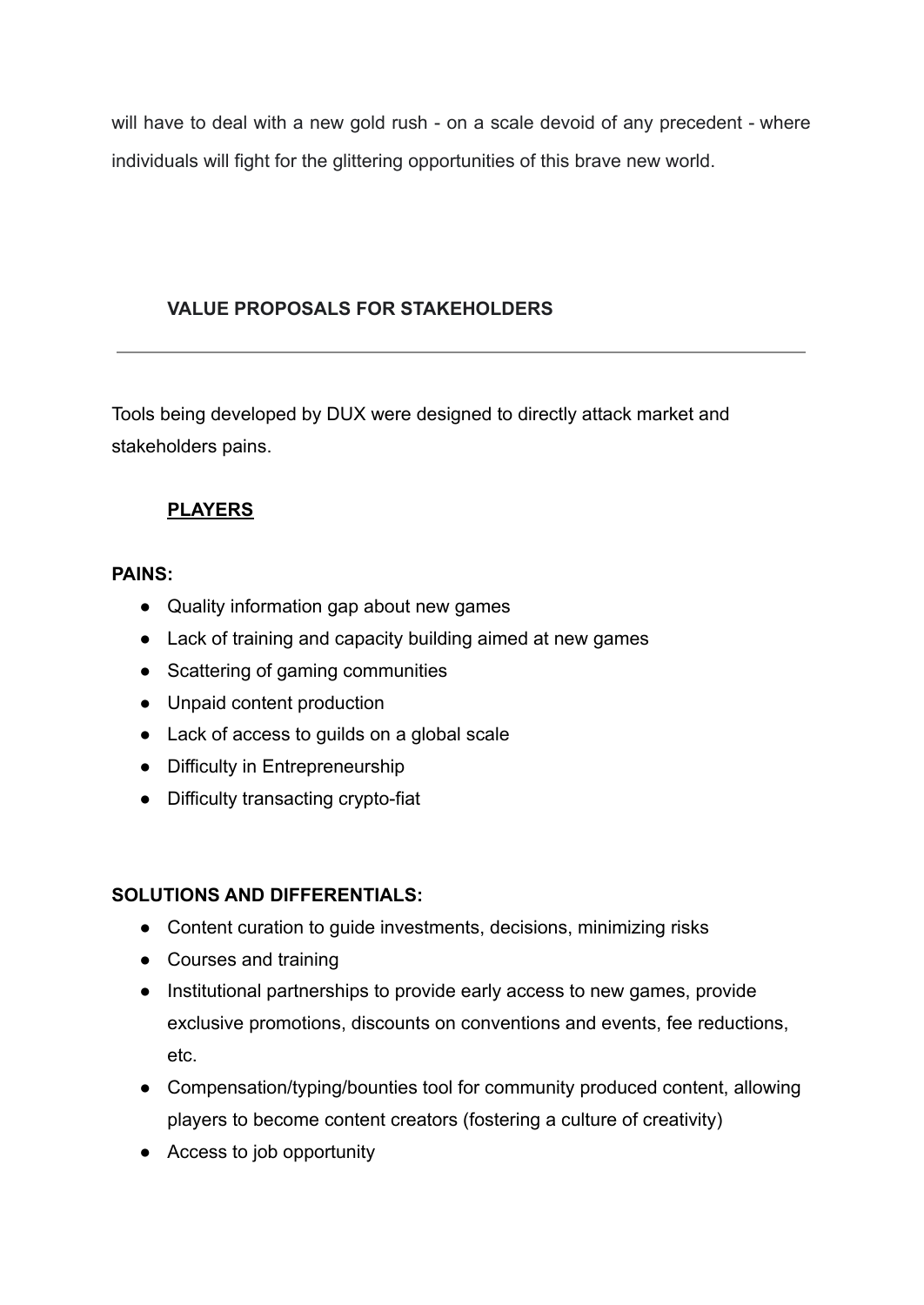will have to deal with a new gold rush - on a scale devoid of any precedent - where individuals will fight for the glittering opportunities of this brave new world.

## **VALUE PROPOSALS FOR STAKEHOLDERS**

Tools being developed by DUX were designed to directly attack market and stakeholders pains.

## **PLAYERS**

## **PAINS:**

- Quality information gap about new games
- Lack of training and capacity building aimed at new games
- Scattering of gaming communities
- Unpaid content production
- Lack of access to guilds on a global scale
- Difficulty in Entrepreneurship
- Difficulty transacting crypto-fiat

- Content curation to guide investments, decisions, minimizing risks
- Courses and training
- Institutional partnerships to provide early access to new games, provide exclusive promotions, discounts on conventions and events, fee reductions, etc.
- Compensation/typing/bounties tool for community produced content, allowing players to become content creators (fostering a culture of creativity)
- Access to job opportunity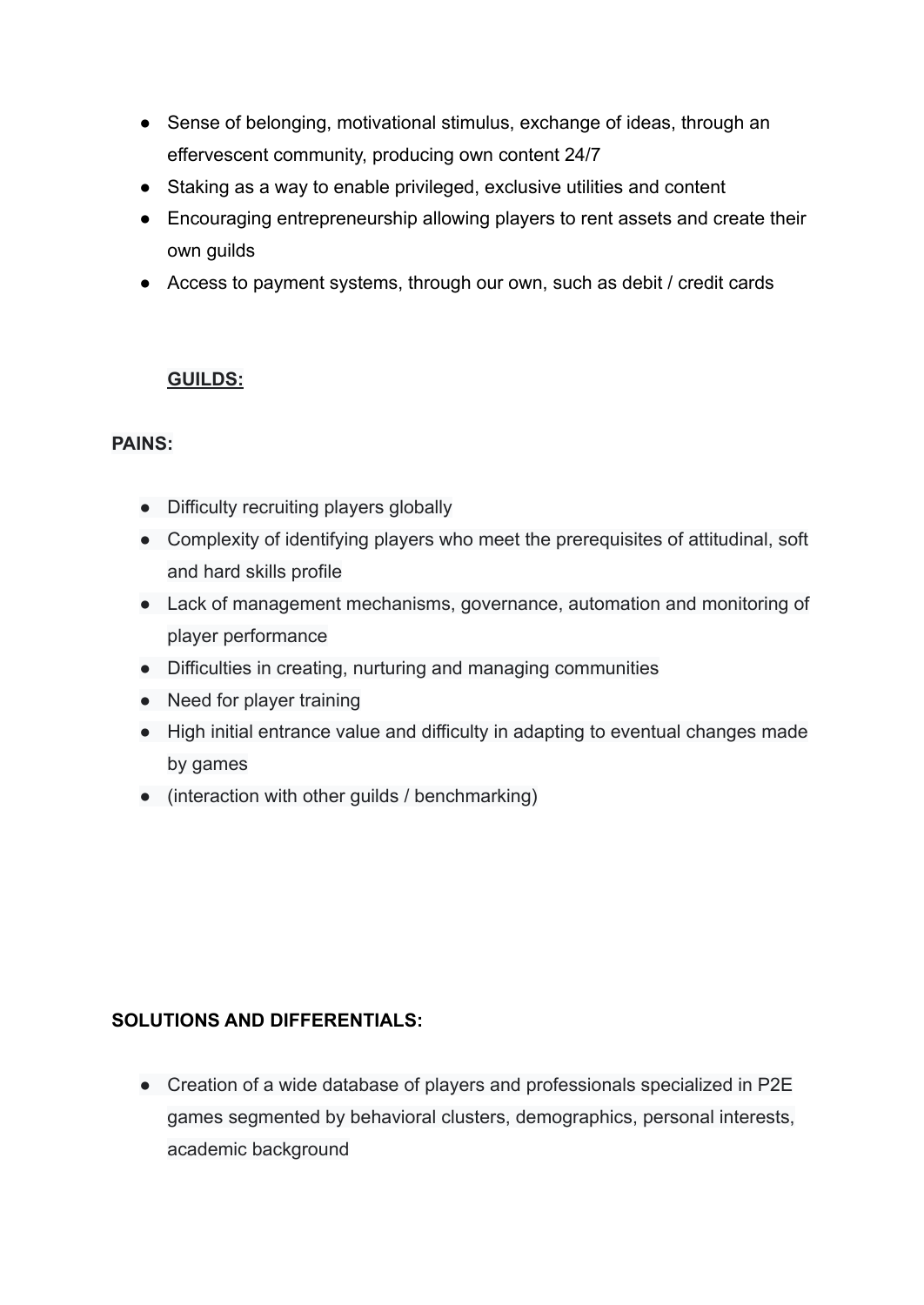- Sense of belonging, motivational stimulus, exchange of ideas, through an effervescent community, producing own content 24/7
- Staking as a way to enable privileged, exclusive utilities and content
- Encouraging entrepreneurship allowing players to rent assets and create their own guilds
- Access to payment systems, through our own, such as debit / credit cards

## **GUILDS:**

### **PAINS:**

- Difficulty recruiting players globally
- Complexity of identifying players who meet the prerequisites of attitudinal, soft and hard skills profile
- Lack of management mechanisms, governance, automation and monitoring of player performance
- Difficulties in creating, nurturing and managing communities
- Need for player training
- High initial entrance value and difficulty in adapting to eventual changes made by games
- (interaction with other guilds / benchmarking)

## **SOLUTIONS AND DIFFERENTIALS:**

● Creation of a wide database of players and professionals specialized in P2E games segmented by behavioral clusters, demographics, personal interests, academic background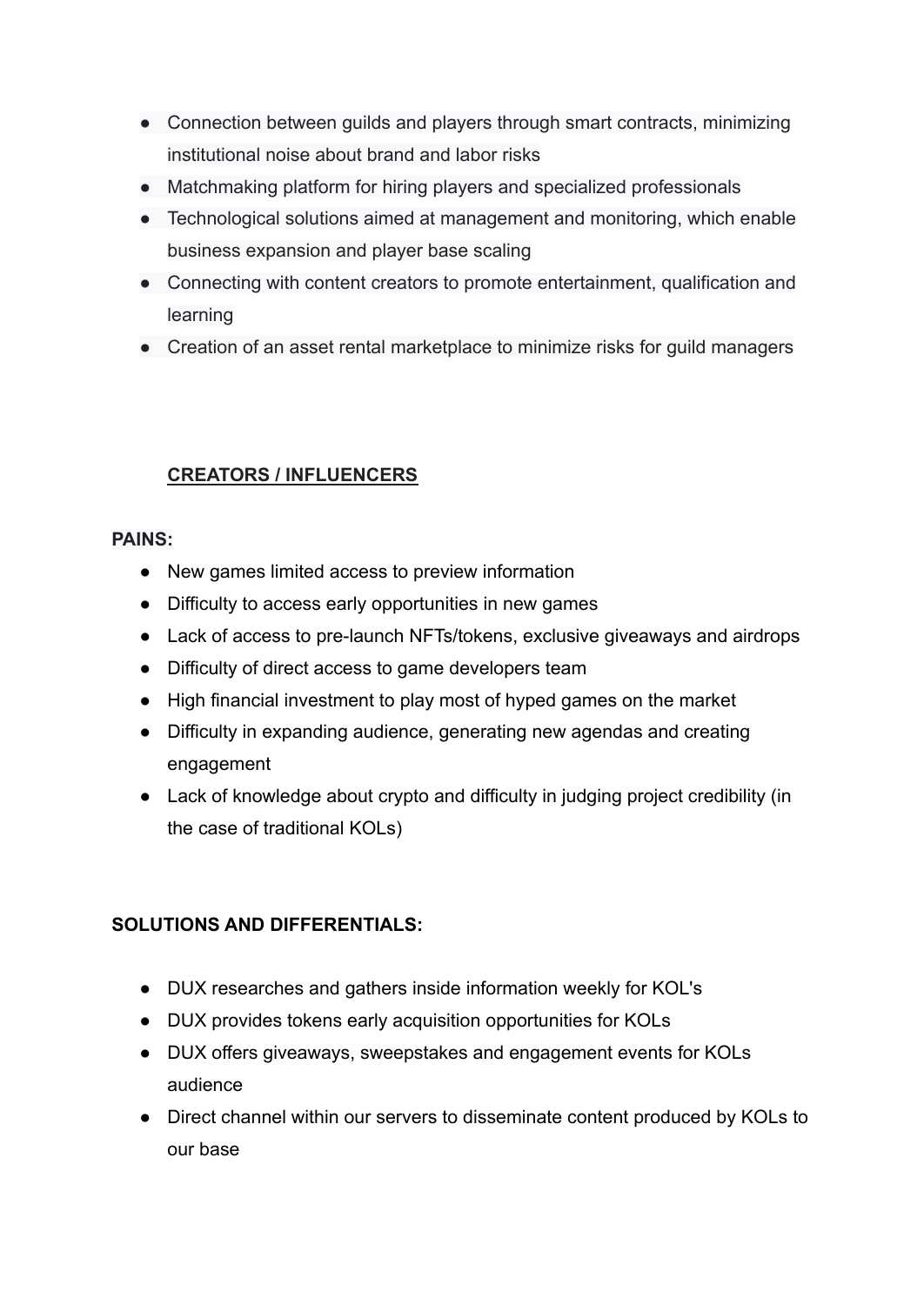- Connection between guilds and players through smart contracts, minimizing institutional noise about brand and labor risks
- Matchmaking platform for hiring players and specialized professionals
- Technological solutions aimed at management and monitoring, which enable business expansion and player base scaling
- Connecting with content creators to promote entertainment, qualification and learning
- Creation of an asset rental marketplace to minimize risks for guild managers

## **CREATORS / INFLUENCERS**

### **PAINS:**

- New games limited access to preview information
- Difficulty to access early opportunities in new games
- Lack of access to pre-launch NFTs/tokens, exclusive giveaways and airdrops
- Difficulty of direct access to game developers team
- High financial investment to play most of hyped games on the market
- Difficulty in expanding audience, generating new agendas and creating engagement
- Lack of knowledge about crypto and difficulty in judging project credibility (in the case of traditional KOLs)

- DUX researches and gathers inside information weekly for KOL's
- DUX provides tokens early acquisition opportunities for KOLs
- DUX offers giveaways, sweepstakes and engagement events for KOLs audience
- Direct channel within our servers to disseminate content produced by KOLs to our base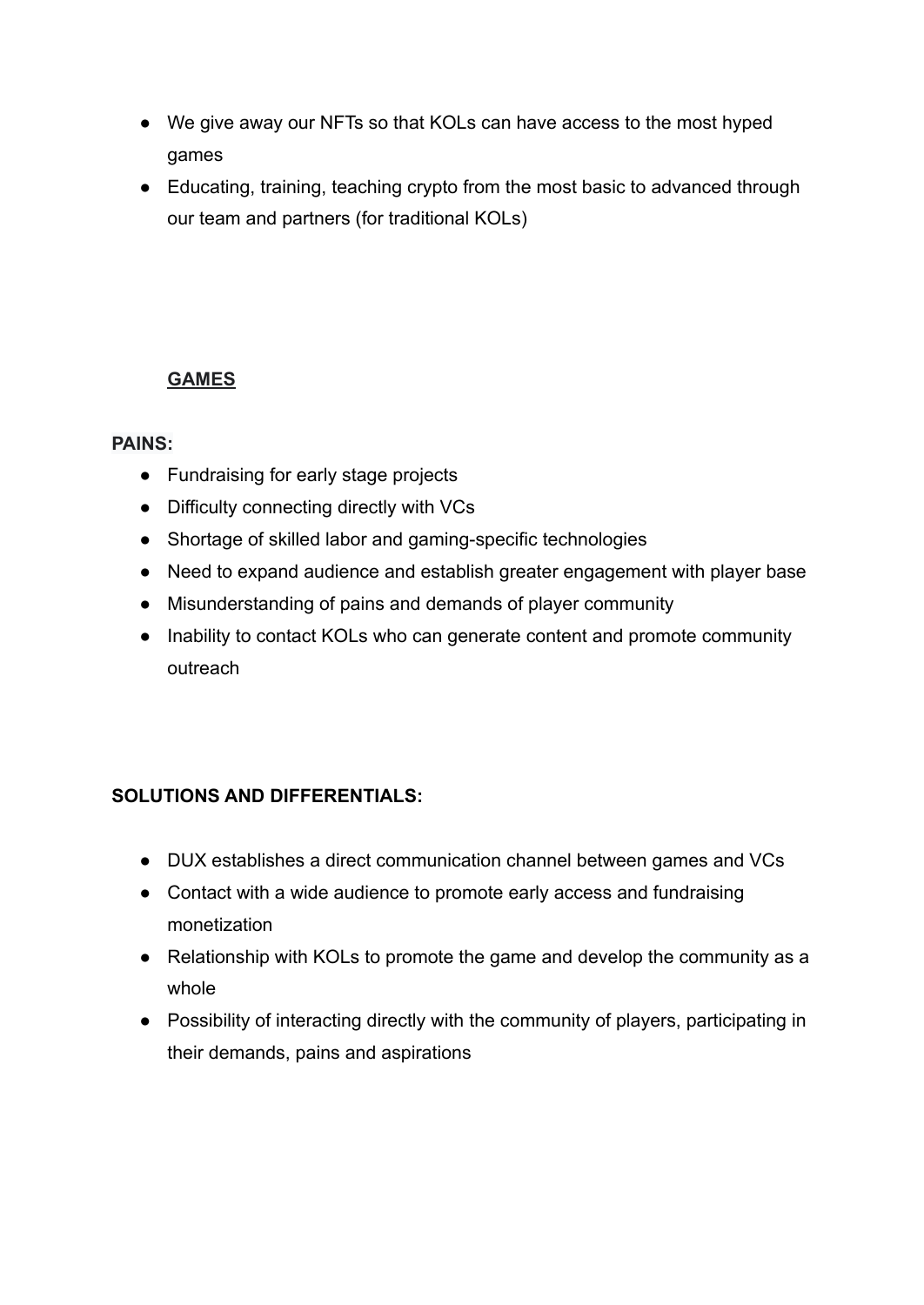- We give away our NFTs so that KOLs can have access to the most hyped games
- Educating, training, teaching crypto from the most basic to advanced through our team and partners (for traditional KOLs)

## **GAMES**

## **PAINS:**

- Fundraising for early stage projects
- Difficulty connecting directly with VCs
- Shortage of skilled labor and gaming-specific technologies
- Need to expand audience and establish greater engagement with player base
- Misunderstanding of pains and demands of player community
- Inability to contact KOLs who can generate content and promote community outreach

- DUX establishes a direct communication channel between games and VCs
- Contact with a wide audience to promote early access and fundraising monetization
- Relationship with KOLs to promote the game and develop the community as a whole
- Possibility of interacting directly with the community of players, participating in their demands, pains and aspirations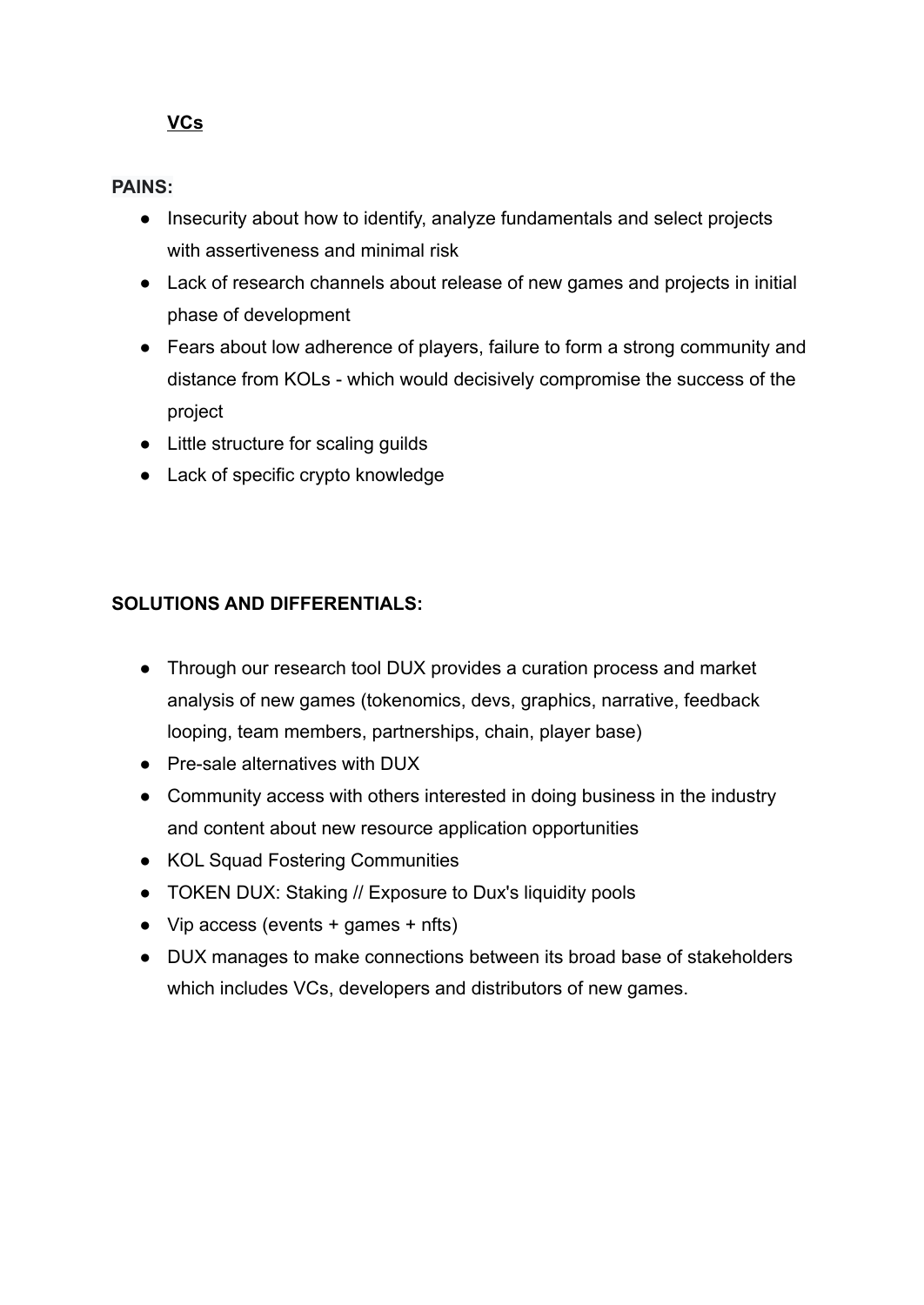## **VCs**

## **PAINS:**

- Insecurity about how to identify, analyze fundamentals and select projects with assertiveness and minimal risk
- Lack of research channels about release of new games and projects in initial phase of development
- Fears about low adherence of players, failure to form a strong community and distance from KOLs - which would decisively compromise the success of the project
- Little structure for scaling guilds
- Lack of specific crypto knowledge

- Through our research tool DUX provides a curation process and market analysis of new games (tokenomics, devs, graphics, narrative, feedback looping, team members, partnerships, chain, player base)
- Pre-sale alternatives with DUX
- Community access with others interested in doing business in the industry and content about new resource application opportunities
- KOL Squad Fostering Communities
- TOKEN DUX: Staking // Exposure to Dux's liquidity pools
- $\bullet$  Vip access (events + games + nfts)
- DUX manages to make connections between its broad base of stakeholders which includes VCs, developers and distributors of new games.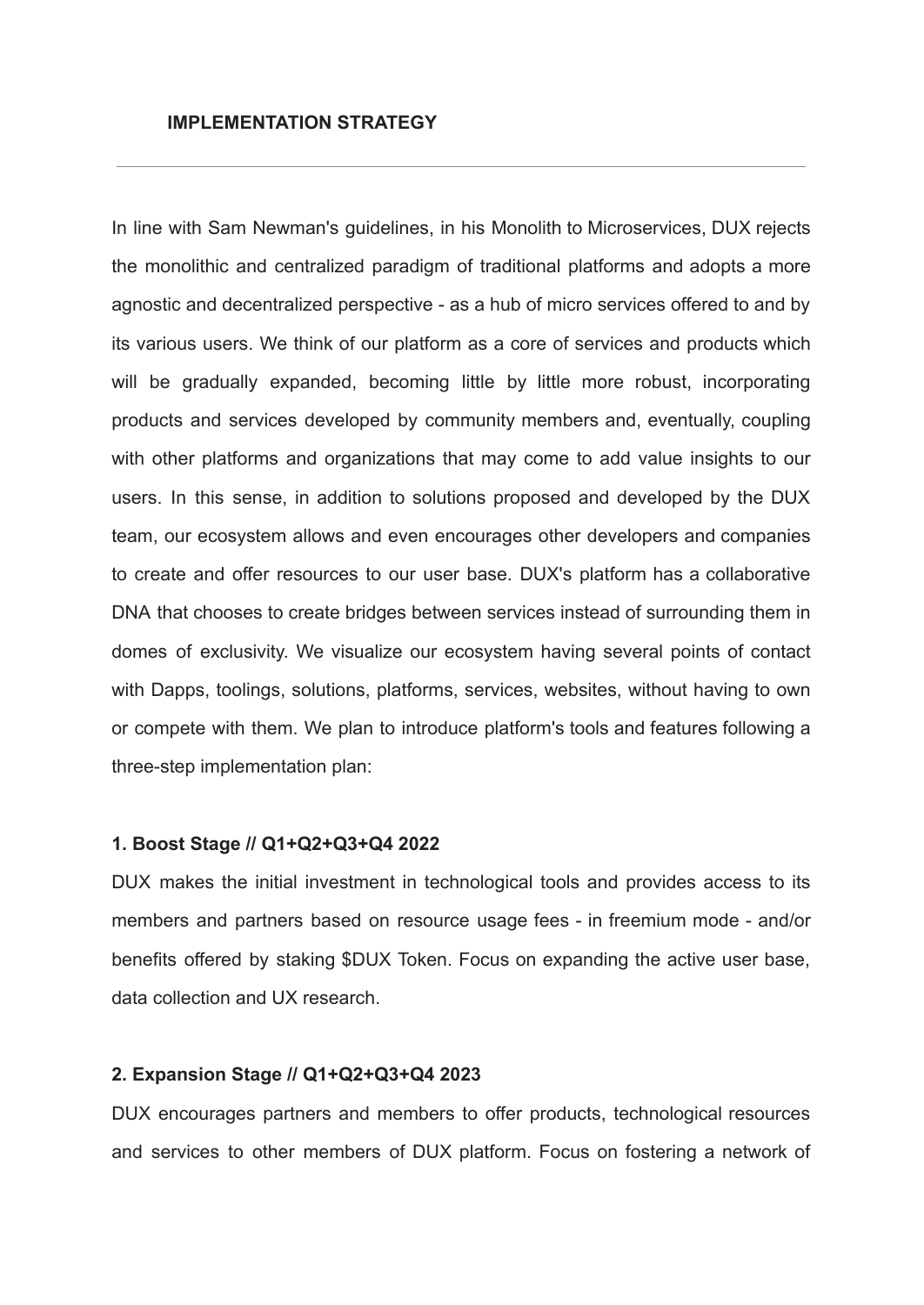In line with Sam Newman's guidelines, in his Monolith to Microservices, DUX rejects the monolithic and centralized paradigm of traditional platforms and adopts a more agnostic and decentralized perspective - as a hub of micro services offered to and by its various users. We think of our platform as a core of services and products which will be gradually expanded, becoming little by little more robust, incorporating products and services developed by community members and, eventually, coupling with other platforms and organizations that may come to add value insights to our users. In this sense, in addition to solutions proposed and developed by the DUX team, our ecosystem allows and even encourages other developers and companies to create and offer resources to our user base. DUX's platform has a collaborative DNA that chooses to create bridges between services instead of surrounding them in domes of exclusivity. We visualize our ecosystem having several points of contact with Dapps, toolings, solutions, platforms, services, websites, without having to own or compete with them. We plan to introduce platform's tools and features following a three-step implementation plan:

#### **1. Boost Stage // Q1+Q2+Q3+Q4 2022**

DUX makes the initial investment in technological tools and provides access to its members and partners based on resource usage fees - in freemium mode - and/or benefits offered by staking \$DUX Token. Focus on expanding the active user base, data collection and UX research.

#### **2. Expansion Stage // Q1+Q2+Q3+Q4 2023**

DUX encourages partners and members to offer products, technological resources and services to other members of DUX platform. Focus on fostering a network of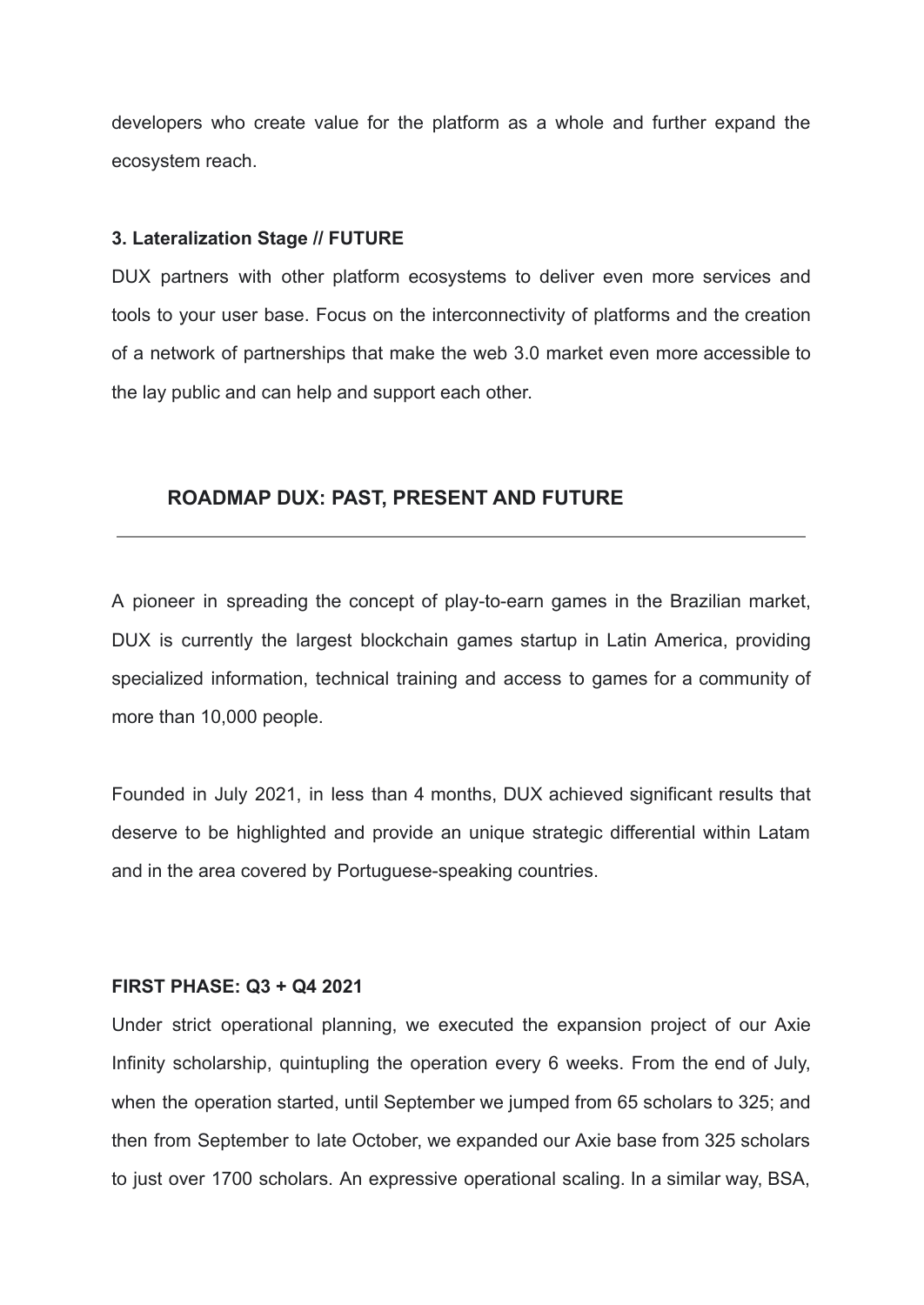developers who create value for the platform as a whole and further expand the ecosystem reach.

#### **3. Lateralization Stage // FUTURE**

DUX partners with other platform ecosystems to deliver even more services and tools to your user base. Focus on the interconnectivity of platforms and the creation of a network of partnerships that make the web 3.0 market even more accessible to the lay public and can help and support each other.

#### **ROADMAP DUX: PAST, PRESENT AND FUTURE**

A pioneer in spreading the concept of play-to-earn games in the Brazilian market, DUX is currently the largest blockchain games startup in Latin America, providing specialized information, technical training and access to games for a community of more than 10,000 people.

Founded in July 2021, in less than 4 months, DUX achieved significant results that deserve to be highlighted and provide an unique strategic differential within Latam and in the area covered by Portuguese-speaking countries.

#### **FIRST PHASE: Q3 + Q4 2021**

Under strict operational planning, we executed the expansion project of our Axie Infinity scholarship, quintupling the operation every 6 weeks. From the end of July, when the operation started, until September we jumped from 65 scholars to 325; and then from September to late October, we expanded our Axie base from 325 scholars to just over 1700 scholars. An expressive operational scaling. In a similar way, BSA,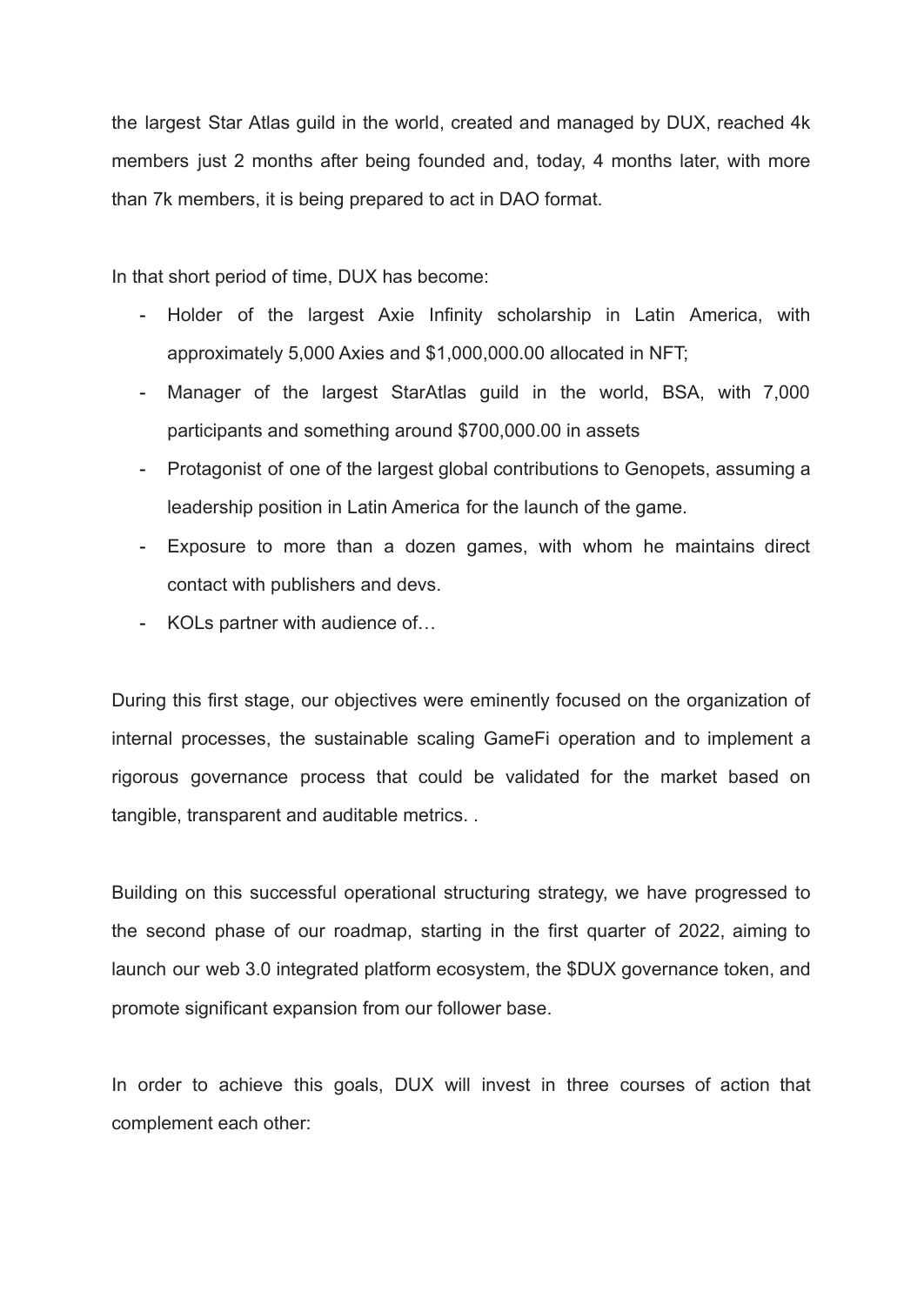the largest Star Atlas guild in the world, created and managed by DUX, reached 4k members just 2 months after being founded and, today, 4 months later, with more than 7k members, it is being prepared to act in DAO format.

In that short period of time, DUX has become:

- Holder of the largest Axie Infinity scholarship in Latin America, with approximately 5,000 Axies and \$1,000,000.00 allocated in NFT;
- Manager of the largest StarAtlas guild in the world, BSA, with 7,000 participants and something around \$700,000.00 in assets
- Protagonist of one of the largest global contributions to Genopets, assuming a leadership position in Latin America for the launch of the game.
- Exposure to more than a dozen games, with whom he maintains direct contact with publishers and devs.
- KOLs partner with audience of…

During this first stage, our objectives were eminently focused on the organization of internal processes, the sustainable scaling GameFi operation and to implement a rigorous governance process that could be validated for the market based on tangible, transparent and auditable metrics. .

Building on this successful operational structuring strategy, we have progressed to the second phase of our roadmap, starting in the first quarter of 2022, aiming to launch our web 3.0 integrated platform ecosystem, the \$DUX governance token, and promote significant expansion from our follower base.

In order to achieve this goals, DUX will invest in three courses of action that complement each other: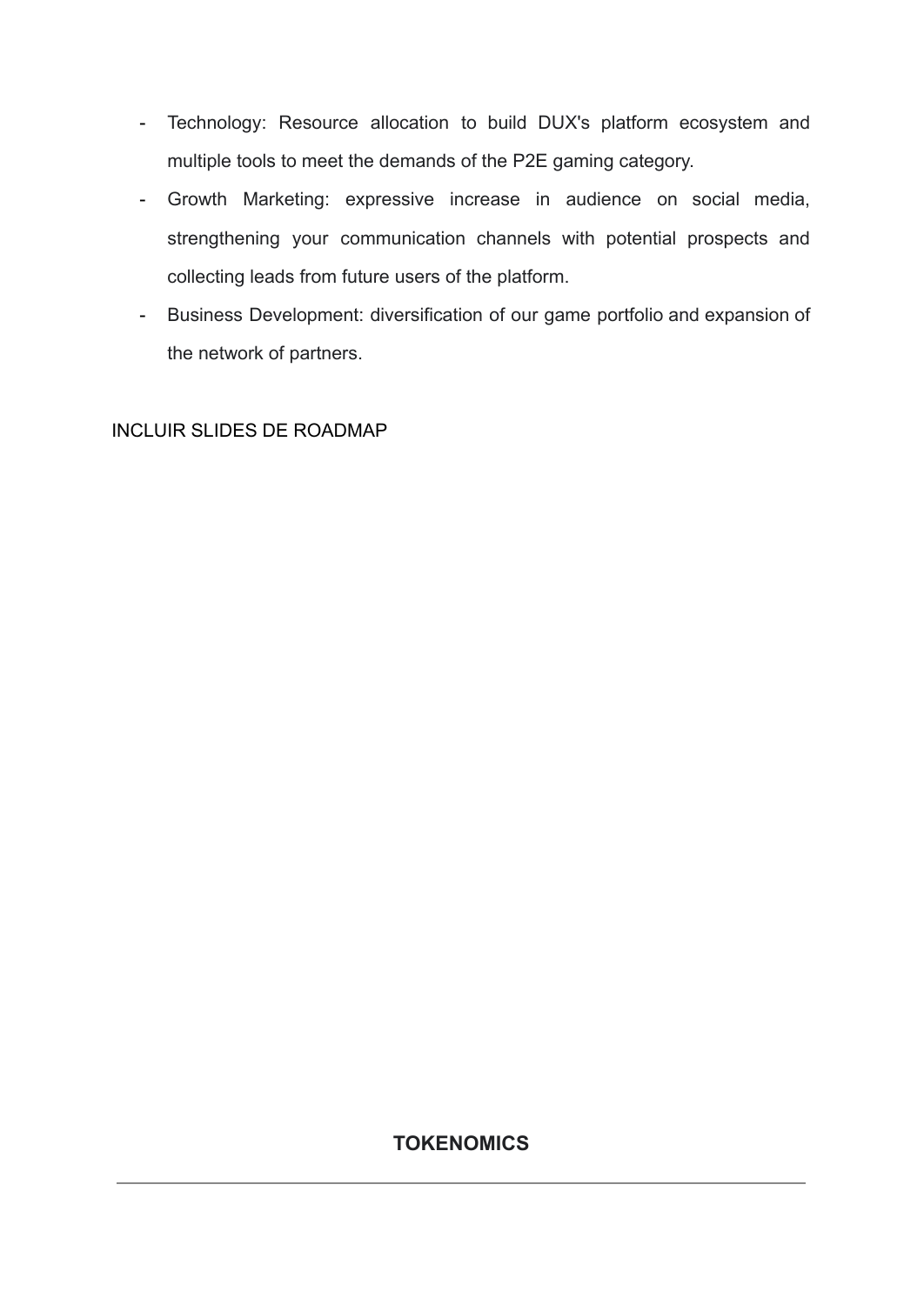- Technology: Resource allocation to build DUX's platform ecosystem and multiple tools to meet the demands of the P2E gaming category.
- Growth Marketing: expressive increase in audience on social media, strengthening your communication channels with potential prospects and collecting leads from future users of the platform.
- Business Development: diversification of our game portfolio and expansion of the network of partners.

INCLUIR SLIDES DE ROADMAP

## **TOKENOMICS**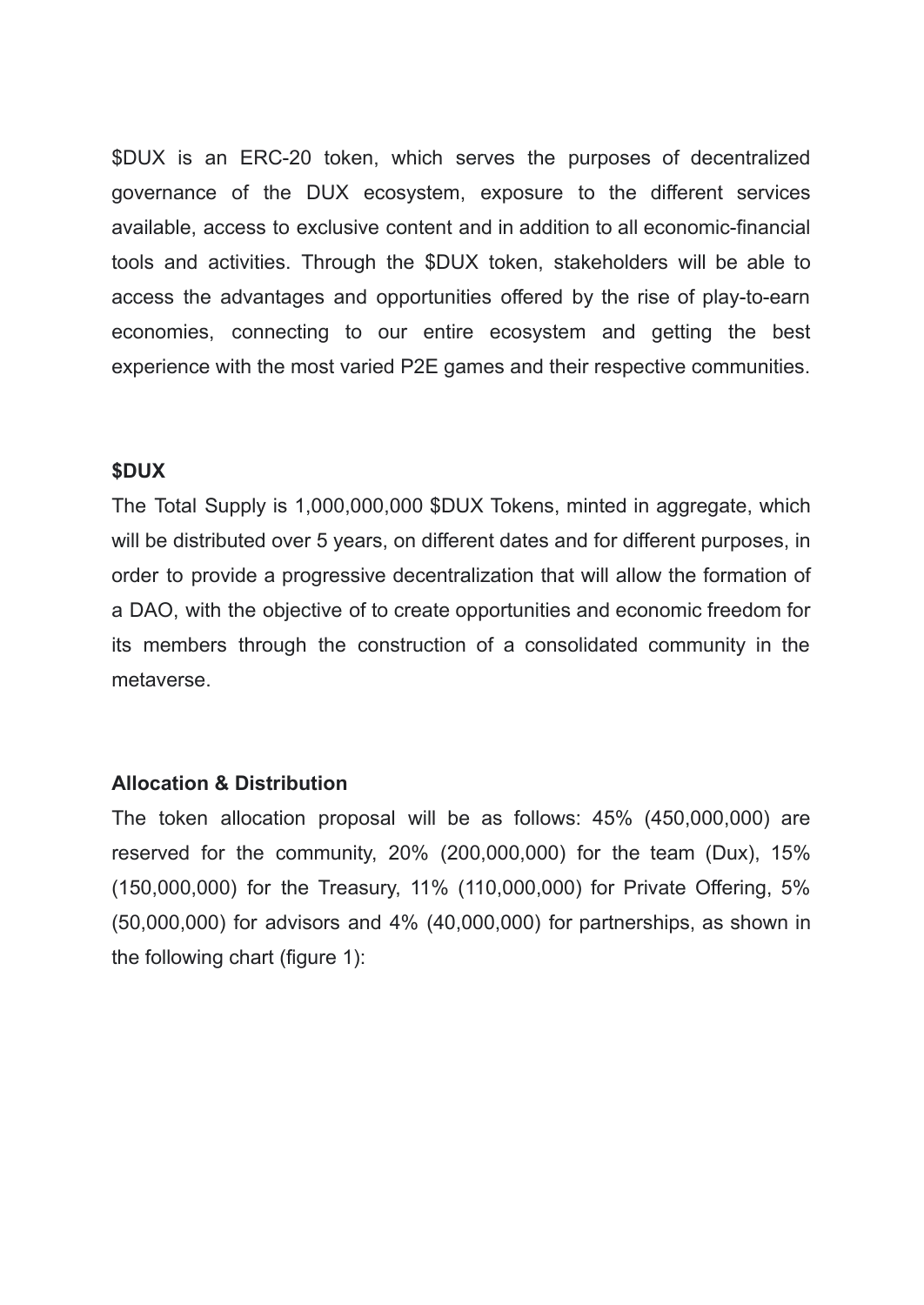\$DUX is an ERC-20 token, which serves the purposes of decentralized governance of the DUX ecosystem, exposure to the different services available, access to exclusive content and in addition to all economic-financial tools and activities. Through the \$DUX token, stakeholders will be able to access the advantages and opportunities offered by the rise of play-to-earn economies, connecting to our entire ecosystem and getting the best experience with the most varied P2E games and their respective communities.

### **\$DUX**

The Total Supply is 1,000,000,000 \$DUX Tokens, minted in aggregate, which will be distributed over 5 years, on different dates and for different purposes, in order to provide a progressive decentralization that will allow the formation of a DAO, with the objective of to create opportunities and economic freedom for its members through the construction of a consolidated community in the metaverse.

### **Allocation & Distribution**

The token allocation proposal will be as follows: 45% (450,000,000) are reserved for the community, 20% (200,000,000) for the team (Dux), 15% (150,000,000) for the Treasury, 11% (110,000,000) for Private Offering, 5% (50,000,000) for advisors and 4% (40,000,000) for partnerships, as shown in the following chart (figure 1):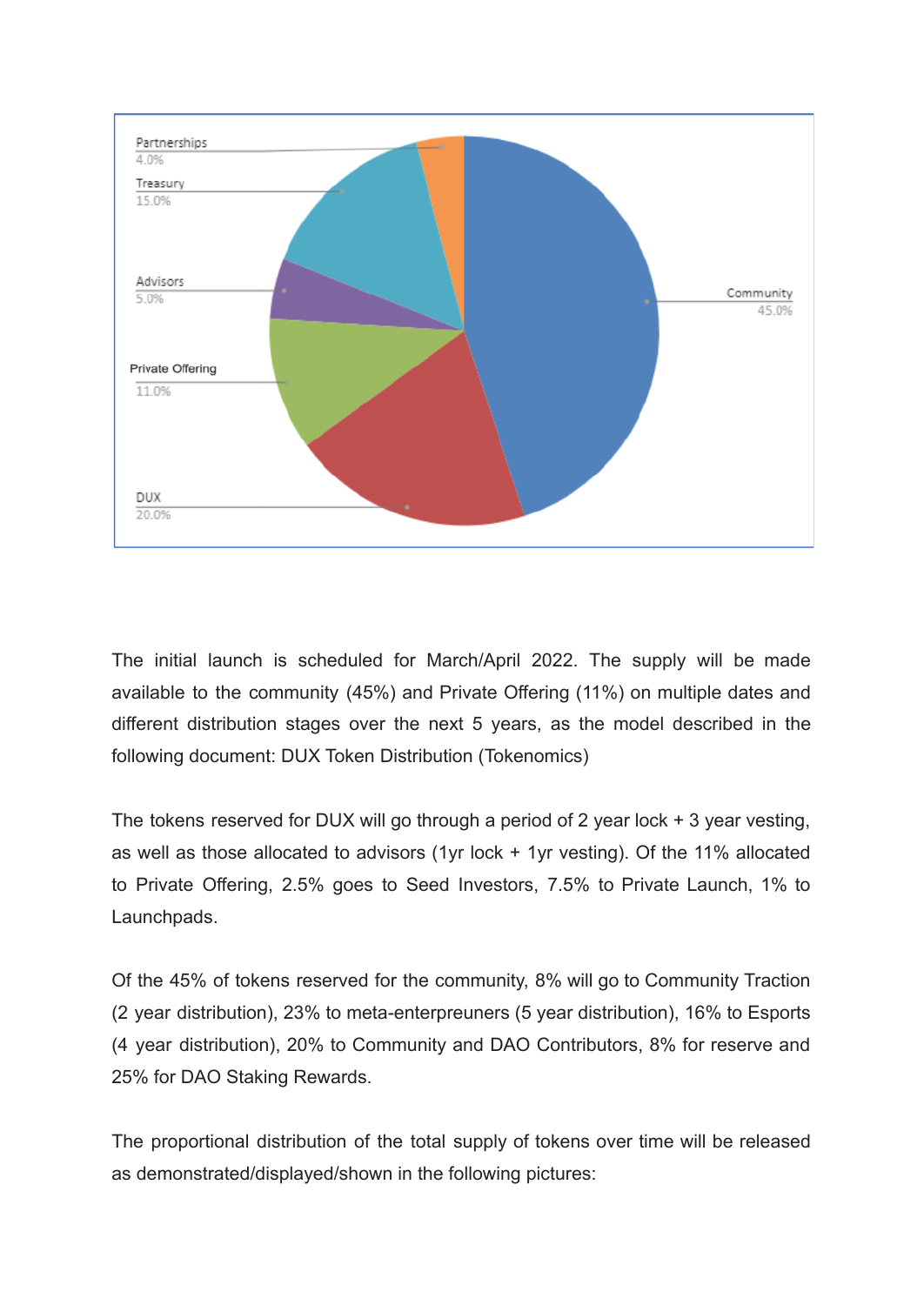

The initial launch is scheduled for March/April 2022. The supply will be made available to the community (45%) and Private Offering (11%) on multiple dates and different distribution stages over the next 5 years, as the model described in the following document: DUX Token Distribution (Tokenomics)

The tokens reserved for DUX will go through a period of 2 year lock + 3 year vesting, as well as those allocated to advisors (1yr lock + 1yr vesting). Of the 11% allocated to Private Offering, 2.5% goes to Seed Investors, 7.5% to Private Launch, 1% to Launchpads.

Of the 45% of tokens reserved for the community, 8% will go to Community Traction (2 year distribution), 23% to meta-enterpreuners (5 year distribution), 16% to Esports (4 year distribution), 20% to Community and DAO Contributors, 8% for reserve and 25% for DAO Staking Rewards.

The proportional distribution of the total supply of tokens over time will be released as demonstrated/displayed/shown in the following pictures: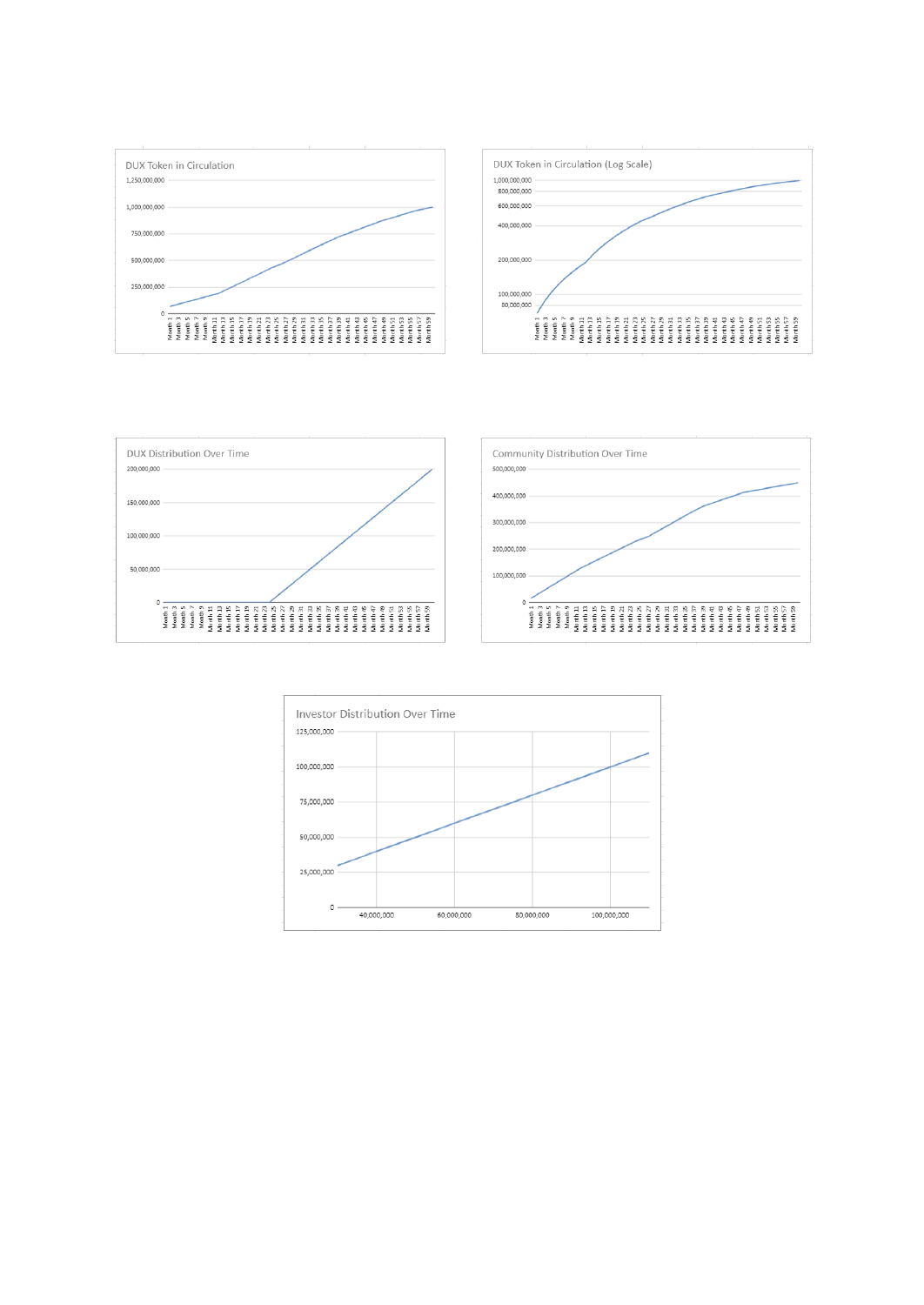







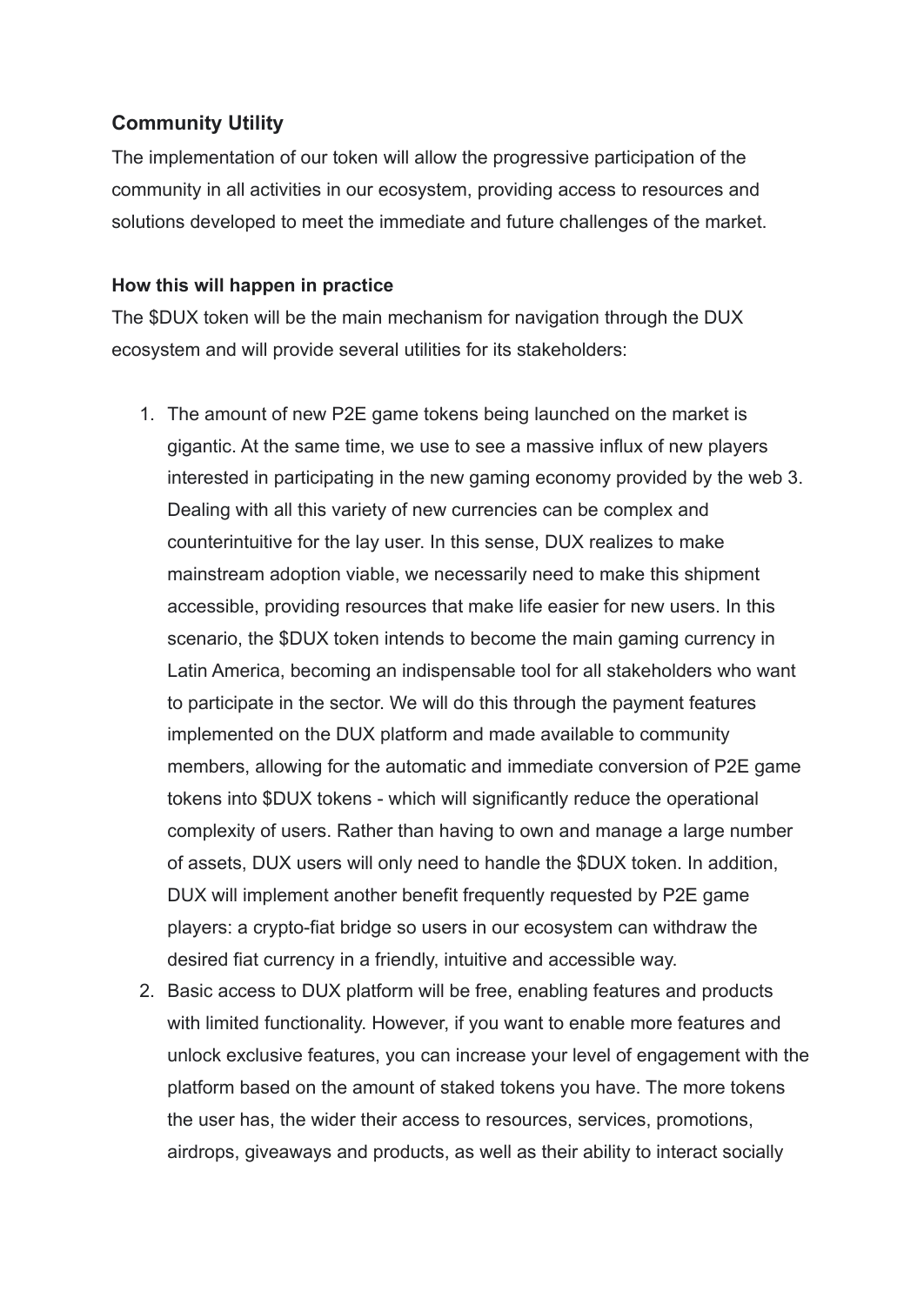## **Community Utility**

The implementation of our token will allow the progressive participation of the community in all activities in our ecosystem, providing access to resources and solutions developed to meet the immediate and future challenges of the market.

### **How this will happen in practice**

The \$DUX token will be the main mechanism for navigation through the DUX ecosystem and will provide several utilities for its stakeholders:

- 1. The amount of new P2E game tokens being launched on the market is gigantic. At the same time, we use to see a massive influx of new players interested in participating in the new gaming economy provided by the web 3. Dealing with all this variety of new currencies can be complex and counterintuitive for the lay user. In this sense, DUX realizes to make mainstream adoption viable, we necessarily need to make this shipment accessible, providing resources that make life easier for new users. In this scenario, the \$DUX token intends to become the main gaming currency in Latin America, becoming an indispensable tool for all stakeholders who want to participate in the sector. We will do this through the payment features implemented on the DUX platform and made available to community members, allowing for the automatic and immediate conversion of P2E game tokens into \$DUX tokens - which will significantly reduce the operational complexity of users. Rather than having to own and manage a large number of assets, DUX users will only need to handle the \$DUX token. In addition, DUX will implement another benefit frequently requested by P2E game players: a crypto-fiat bridge so users in our ecosystem can withdraw the desired fiat currency in a friendly, intuitive and accessible way.
- 2. Basic access to DUX platform will be free, enabling features and products with limited functionality. However, if you want to enable more features and unlock exclusive features, you can increase your level of engagement with the platform based on the amount of staked tokens you have. The more tokens the user has, the wider their access to resources, services, promotions, airdrops, giveaways and products, as well as their ability to interact socially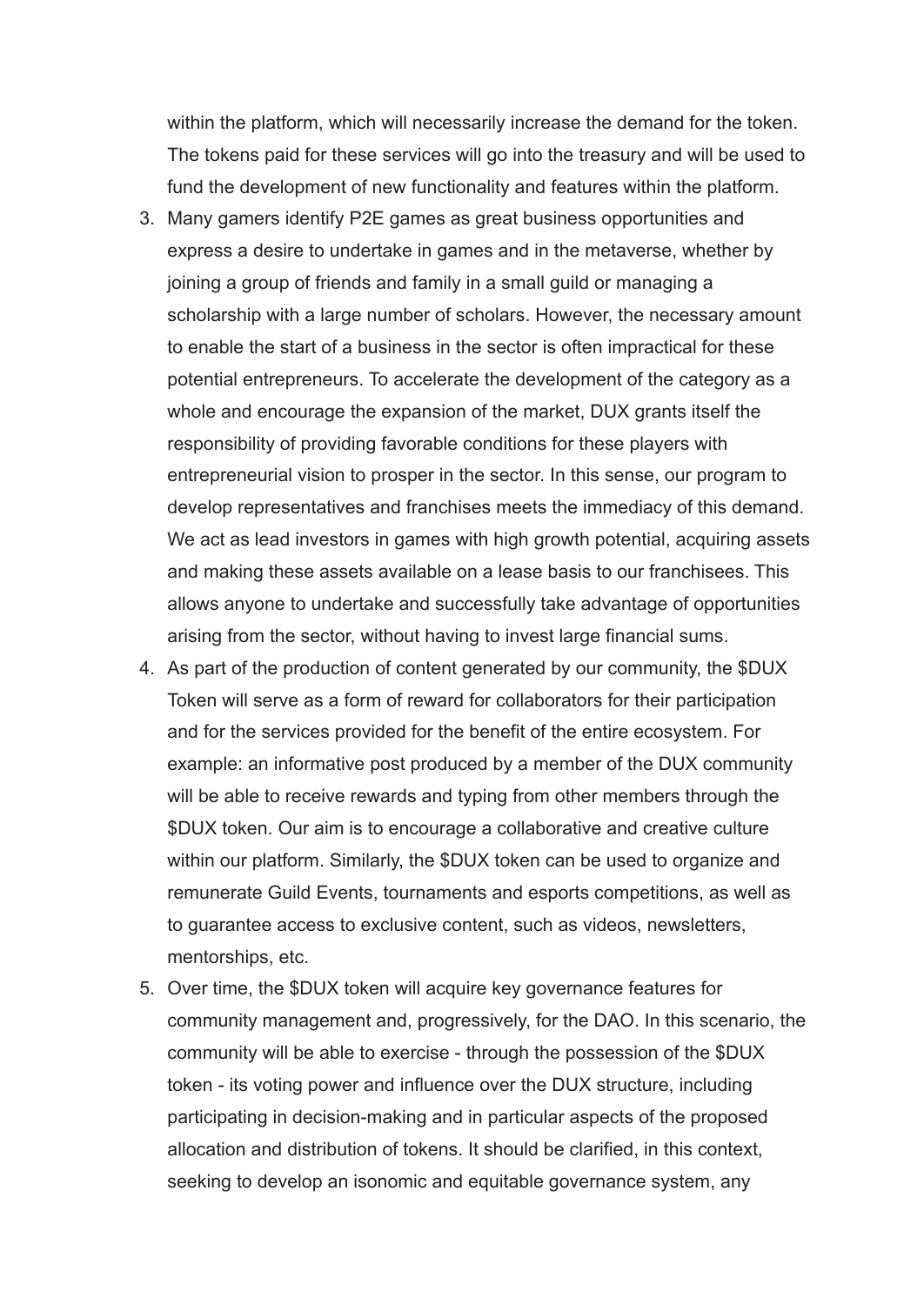within the platform, which will necessarily increase the demand for the token. The tokens paid for these services will go into the treasury and will be used to fund the development of new functionality and features within the platform.

- 3. Many gamers identify P2E games as great business opportunities and express a desire to undertake in games and in the metaverse, whether by joining a group of friends and family in a small guild or managing a scholarship with a large number of scholars. However, the necessary amount to enable the start of a business in the sector is often impractical for these potential entrepreneurs. To accelerate the development of the category as a whole and encourage the expansion of the market, DUX grants itself the responsibility of providing favorable conditions for these players with entrepreneurial vision to prosper in the sector. In this sense, our program to develop representatives and franchises meets the immediacy of this demand. We act as lead investors in games with high growth potential, acquiring assets and making these assets available on a lease basis to our franchisees. This allows anyone to undertake and successfully take advantage of opportunities arising from the sector, without having to invest large financial sums.
- 4. As part of the production of content generated by our community, the \$DUX Token will serve as a form of reward for collaborators for their participation and for the services provided for the benefit of the entire ecosystem. For example: an informative post produced by a member of the DUX community will be able to receive rewards and typing from other members through the \$DUX token. Our aim is to encourage a collaborative and creative culture within our platform. Similarly, the \$DUX token can be used to organize and remunerate Guild Events, tournaments and esports competitions, as well as to guarantee access to exclusive content, such as videos, newsletters, mentorships, etc.
- 5. Over time, the \$DUX token will acquire key governance features for community management and, progressively, for the DAO. In this scenario, the community will be able to exercise - through the possession of the \$DUX token - its voting power and influence over the DUX structure, including participating in decision-making and in particular aspects of the proposed allocation and distribution of tokens. It should be clarified, in this context, seeking to develop an isonomic and equitable governance system, any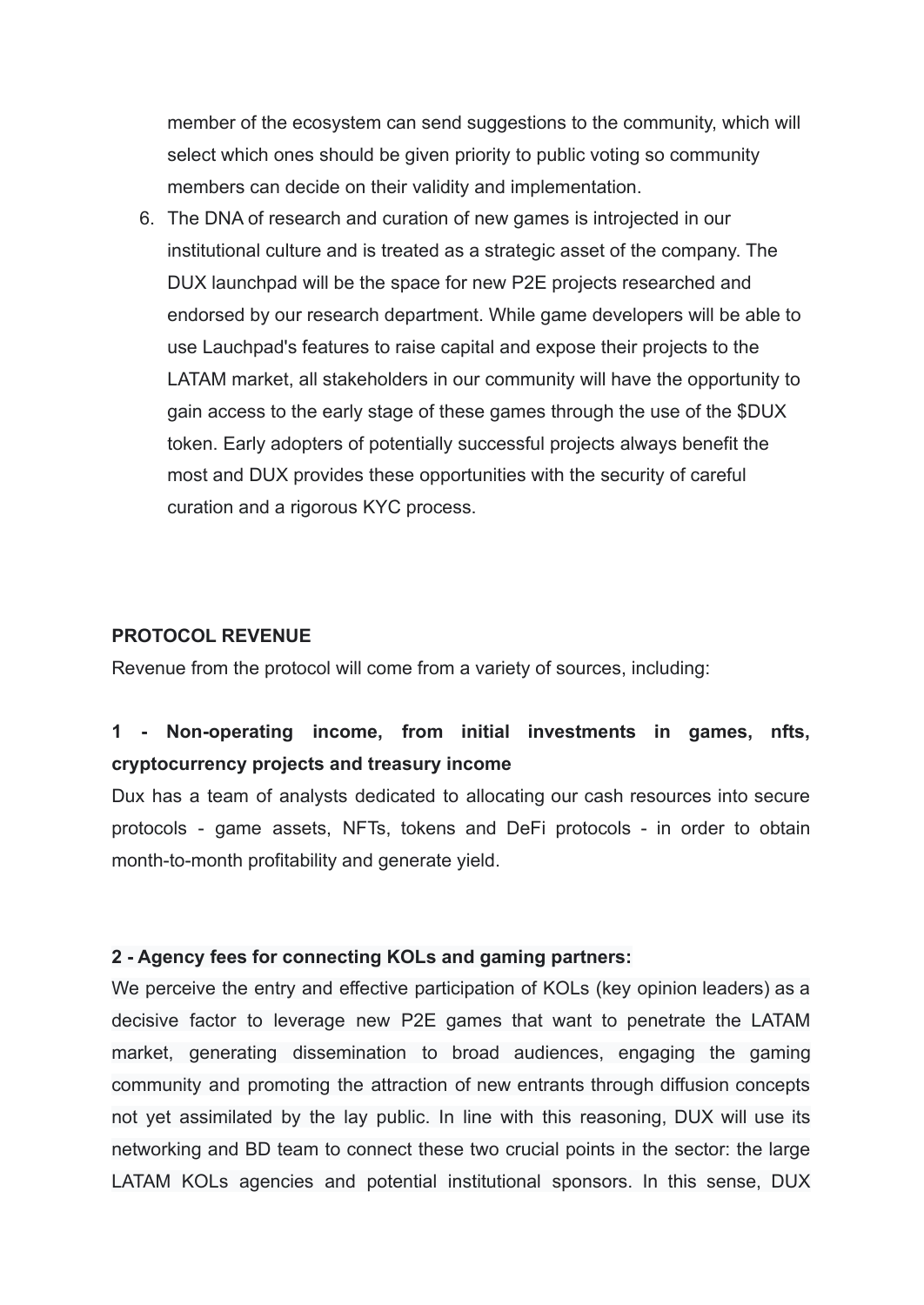member of the ecosystem can send suggestions to the community, which will select which ones should be given priority to public voting so community members can decide on their validity and implementation.

6. The DNA of research and curation of new games is introjected in our institutional culture and is treated as a strategic asset of the company. The DUX launchpad will be the space for new P2E projects researched and endorsed by our research department. While game developers will be able to use Lauchpad's features to raise capital and expose their projects to the LATAM market, all stakeholders in our community will have the opportunity to gain access to the early stage of these games through the use of the \$DUX token. Early adopters of potentially successful projects always benefit the most and DUX provides these opportunities with the security of careful curation and a rigorous KYC process.

#### **PROTOCOL REVENUE**

Revenue from the protocol will come from a variety of sources, including:

# **1 - Non-operating income, from initial investments in games, nfts, cryptocurrency projects and treasury income**

Dux has a team of analysts dedicated to allocating our cash resources into secure protocols - game assets, NFTs, tokens and DeFi protocols - in order to obtain month-to-month profitability and generate yield.

### **2 - Agency fees for connecting KOLs and gaming partners:**

We perceive the entry and effective participation of KOLs (key opinion leaders) as a decisive factor to leverage new P2E games that want to penetrate the LATAM market, generating dissemination to broad audiences, engaging the gaming community and promoting the attraction of new entrants through diffusion concepts not yet assimilated by the lay public. In line with this reasoning, DUX will use its networking and BD team to connect these two crucial points in the sector: the large LATAM KOLs agencies and potential institutional sponsors. In this sense, DUX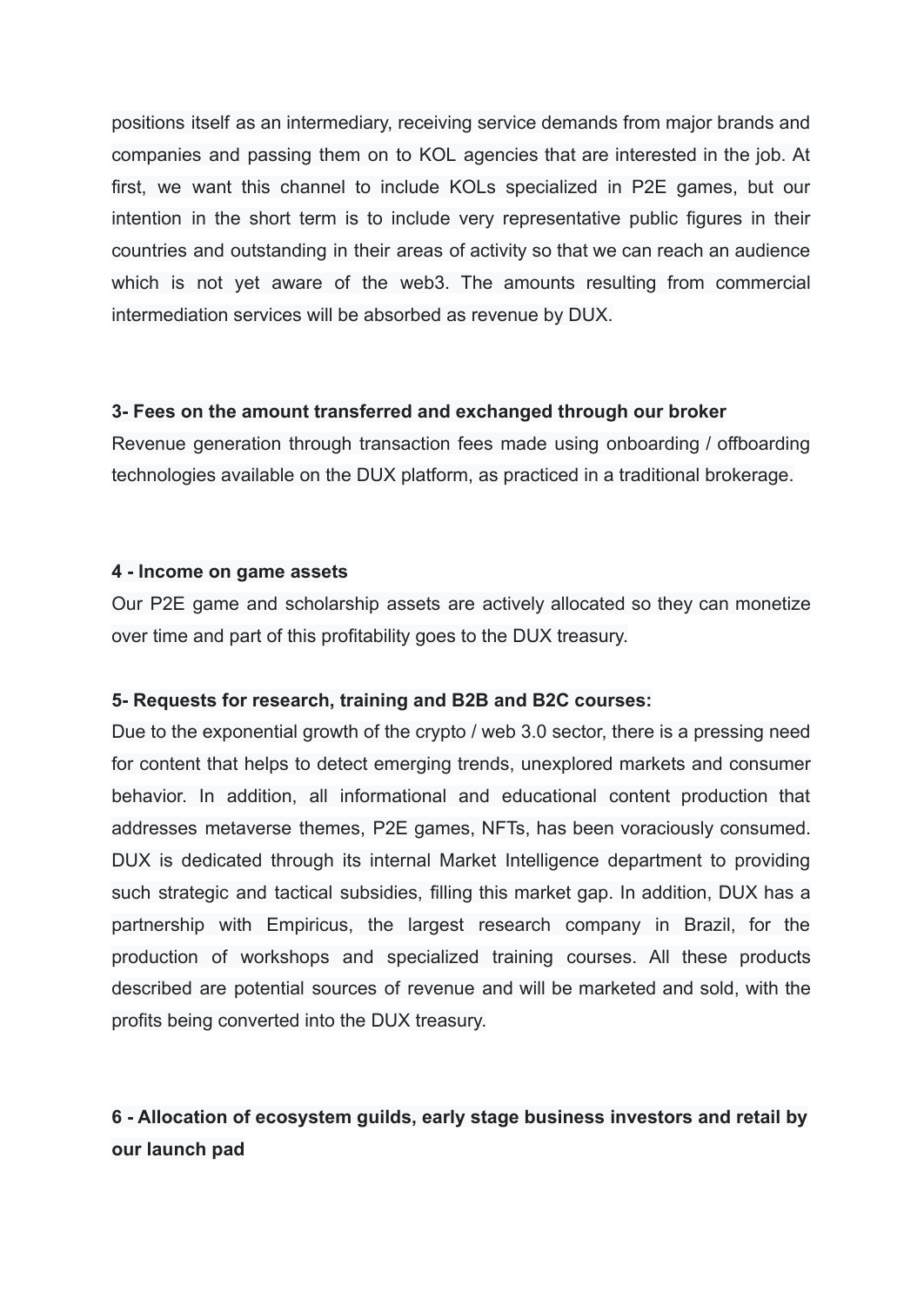positions itself as an intermediary, receiving service demands from major brands and companies and passing them on to KOL agencies that are interested in the job. At first, we want this channel to include KOLs specialized in P2E games, but our intention in the short term is to include very representative public figures in their countries and outstanding in their areas of activity so that we can reach an audience which is not yet aware of the web3. The amounts resulting from commercial intermediation services will be absorbed as revenue by DUX.

### **3- Fees on the amount transferred and exchanged through our broker**

Revenue generation through transaction fees made using onboarding / offboarding technologies available on the DUX platform, as practiced in a traditional brokerage.

#### **4 - Income on game assets**

Our P2E game and scholarship assets are actively allocated so they can monetize over time and part of this profitability goes to the DUX treasury.

### **5- Requests for research, training and B2B and B2C courses:**

Due to the exponential growth of the crypto / web 3.0 sector, there is a pressing need for content that helps to detect emerging trends, unexplored markets and consumer behavior. In addition, all informational and educational content production that addresses metaverse themes, P2E games, NFTs, has been voraciously consumed. DUX is dedicated through its internal Market Intelligence department to providing such strategic and tactical subsidies, filling this market gap. In addition, DUX has a partnership with Empiricus, the largest research company in Brazil, for the production of workshops and specialized training courses. All these products described are potential sources of revenue and will be marketed and sold, with the profits being converted into the DUX treasury.

# **6 - Allocation of ecosystem guilds, early stage business investors and retail by our launch pad**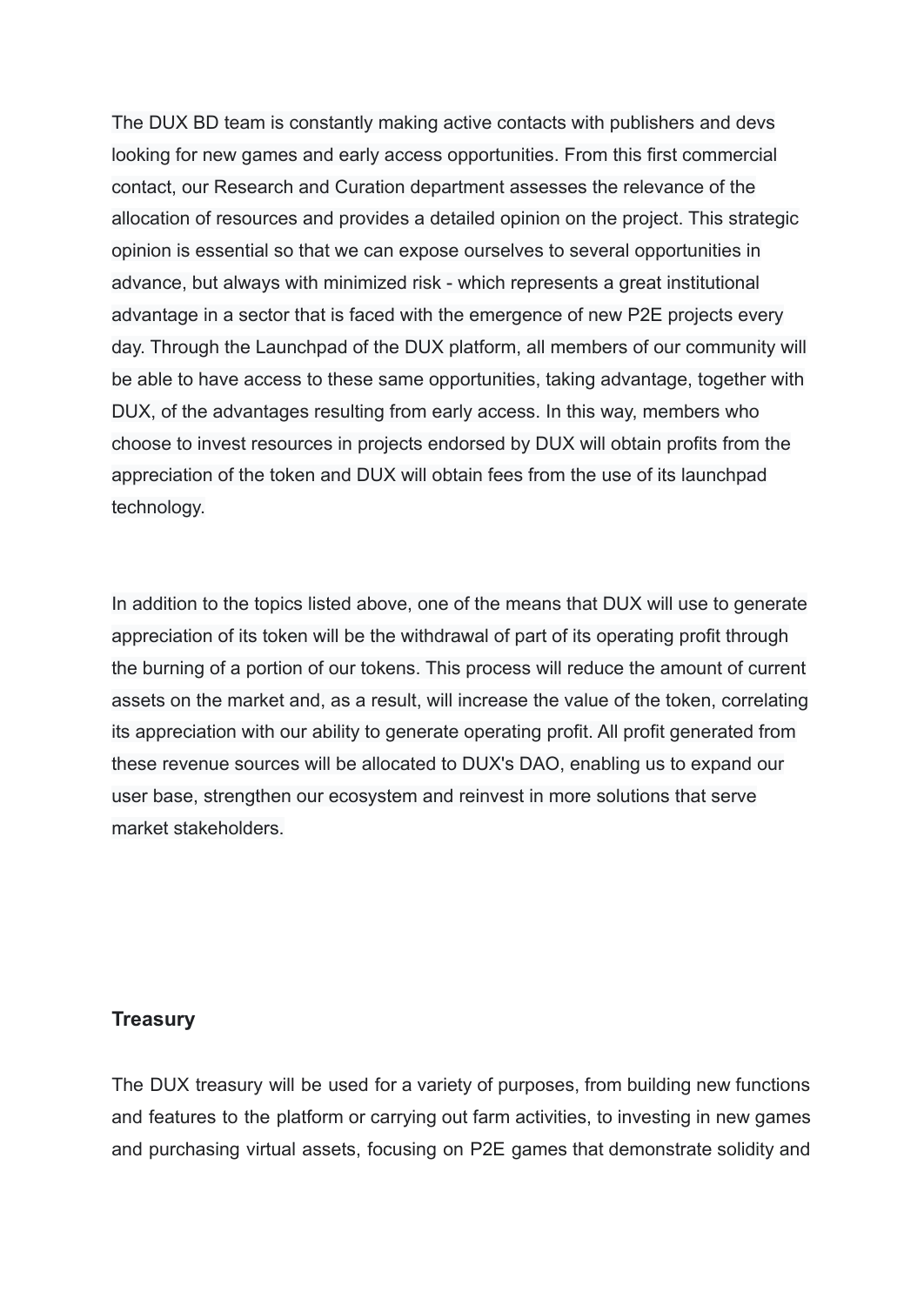The DUX BD team is constantly making active contacts with publishers and devs looking for new games and early access opportunities. From this first commercial contact, our Research and Curation department assesses the relevance of the allocation of resources and provides a detailed opinion on the project. This strategic opinion is essential so that we can expose ourselves to several opportunities in advance, but always with minimized risk - which represents a great institutional advantage in a sector that is faced with the emergence of new P2E projects every day. Through the Launchpad of the DUX platform, all members of our community will be able to have access to these same opportunities, taking advantage, together with DUX, of the advantages resulting from early access. In this way, members who choose to invest resources in projects endorsed by DUX will obtain profits from the appreciation of the token and DUX will obtain fees from the use of its launchpad technology.

In addition to the topics listed above, one of the means that DUX will use to generate appreciation of its token will be the withdrawal of part of its operating profit through the burning of a portion of our tokens. This process will reduce the amount of current assets on the market and, as a result, will increase the value of the token, correlating its appreciation with our ability to generate operating profit. All profit generated from these revenue sources will be allocated to DUX's DAO, enabling us to expand our user base, strengthen our ecosystem and reinvest in more solutions that serve market stakeholders.

### **Treasury**

The DUX treasury will be used for a variety of purposes, from building new functions and features to the platform or carrying out farm activities, to investing in new games and purchasing virtual assets, focusing on P2E games that demonstrate solidity and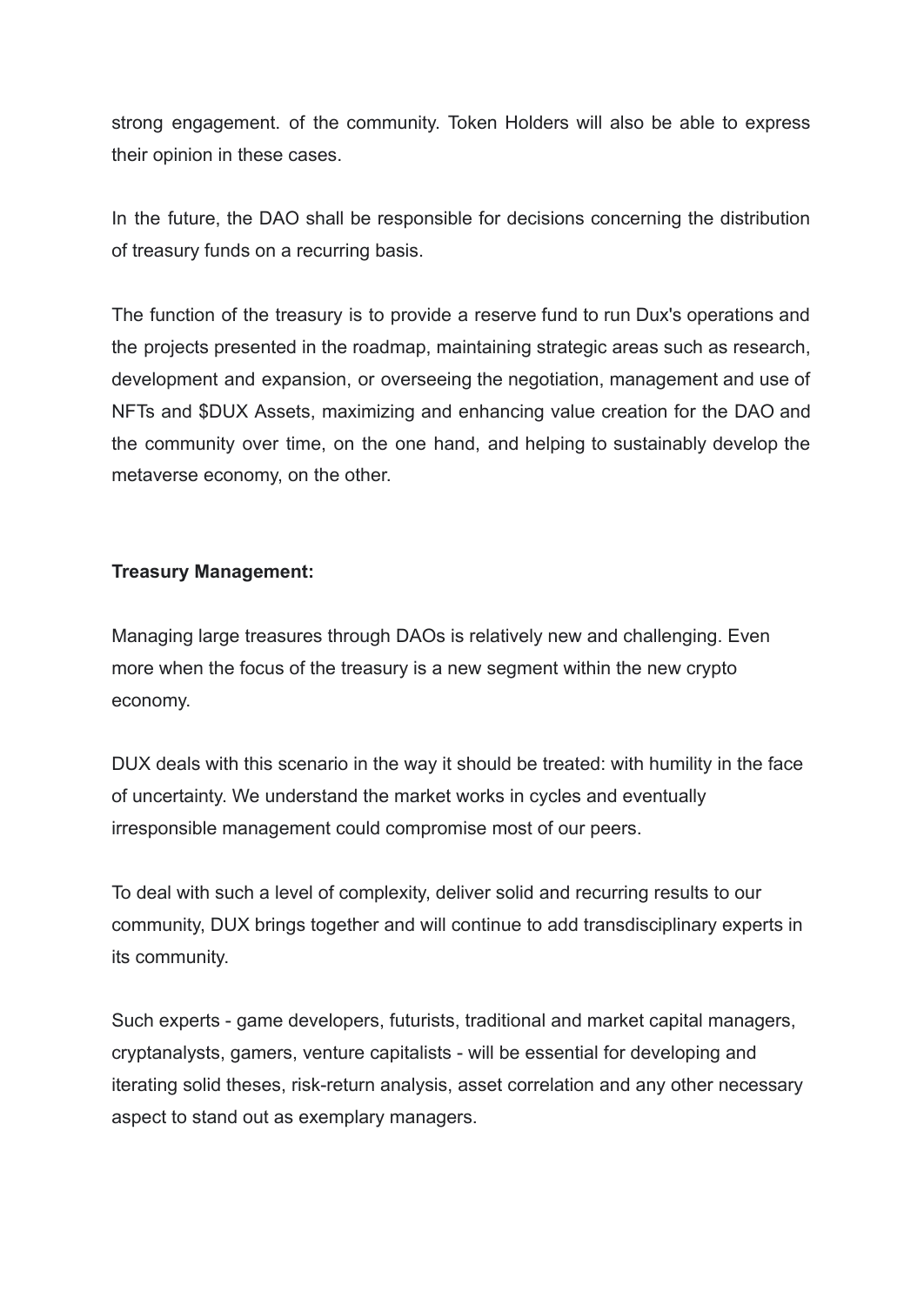strong engagement. of the community. Token Holders will also be able to express their opinion in these cases.

In the future, the DAO shall be responsible for decisions concerning the distribution of treasury funds on a recurring basis.

The function of the treasury is to provide a reserve fund to run Dux's operations and the projects presented in the roadmap, maintaining strategic areas such as research, development and expansion, or overseeing the negotiation, management and use of NFTs and \$DUX Assets, maximizing and enhancing value creation for the DAO and the community over time, on the one hand, and helping to sustainably develop the metaverse economy, on the other.

## **Treasury Management:**

Managing large treasures through DAOs is relatively new and challenging. Even more when the focus of the treasury is a new segment within the new crypto economy.

DUX deals with this scenario in the way it should be treated: with humility in the face of uncertainty. We understand the market works in cycles and eventually irresponsible management could compromise most of our peers.

To deal with such a level of complexity, deliver solid and recurring results to our community, DUX brings together and will continue to add transdisciplinary experts in its community.

Such experts - game developers, futurists, traditional and market capital managers, cryptanalysts, gamers, venture capitalists - will be essential for developing and iterating solid theses, risk-return analysis, asset correlation and any other necessary aspect to stand out as exemplary managers.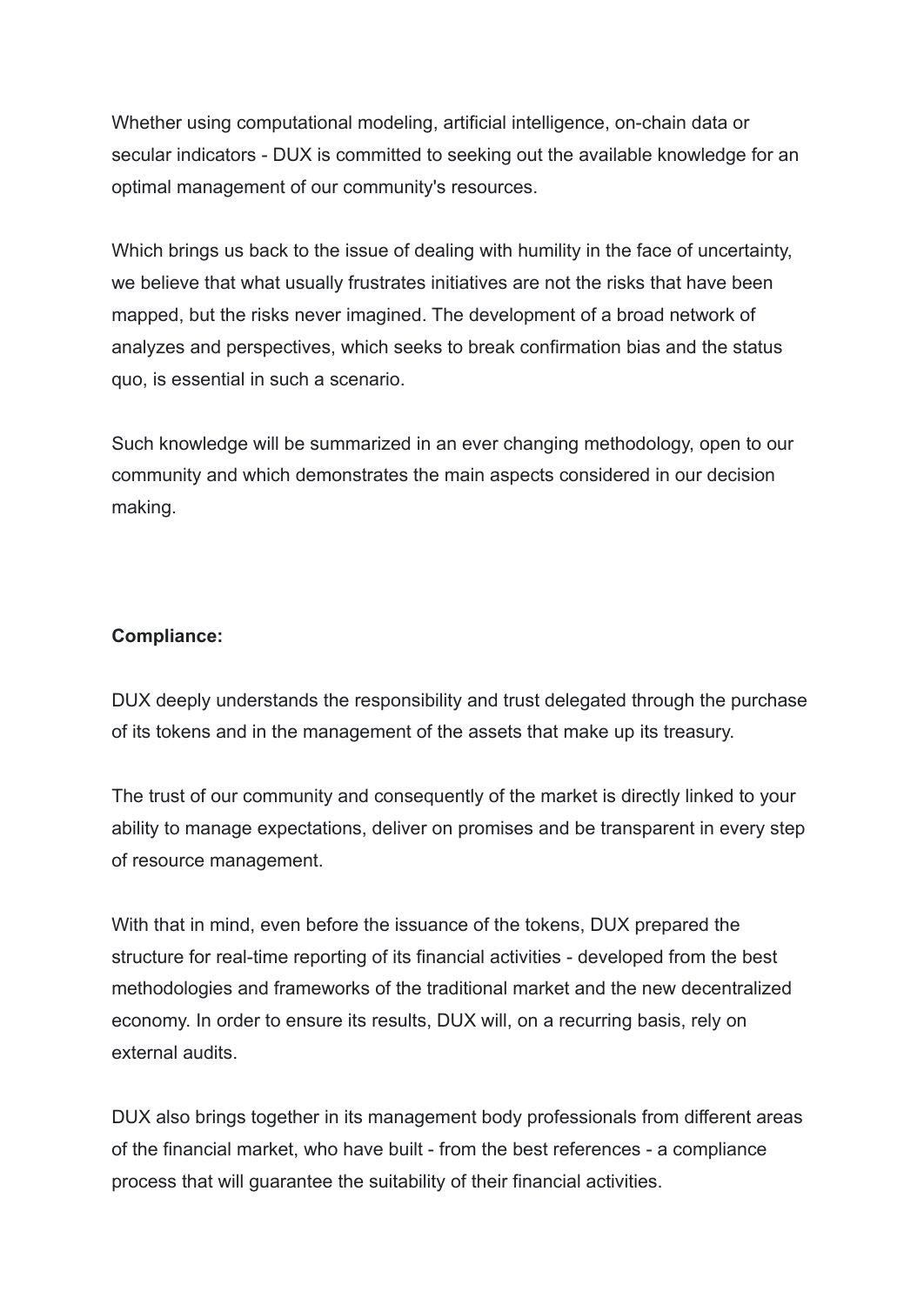Whether using computational modeling, artificial intelligence, on-chain data or secular indicators - DUX is committed to seeking out the available knowledge for an optimal management of our community's resources.

Which brings us back to the issue of dealing with humility in the face of uncertainty, we believe that what usually frustrates initiatives are not the risks that have been mapped, but the risks never imagined. The development of a broad network of analyzes and perspectives, which seeks to break confirmation bias and the status quo, is essential in such a scenario.

Such knowledge will be summarized in an ever changing methodology, open to our community and which demonstrates the main aspects considered in our decision making.

### **Compliance:**

DUX deeply understands the responsibility and trust delegated through the purchase of its tokens and in the management of the assets that make up its treasury.

The trust of our community and consequently of the market is directly linked to your ability to manage expectations, deliver on promises and be transparent in every step of resource management.

With that in mind, even before the issuance of the tokens, DUX prepared the structure for real-time reporting of its financial activities - developed from the best methodologies and frameworks of the traditional market and the new decentralized economy. In order to ensure its results, DUX will, on a recurring basis, rely on external audits.

DUX also brings together in its management body professionals from different areas of the financial market, who have built - from the best references - a compliance process that will guarantee the suitability of their financial activities.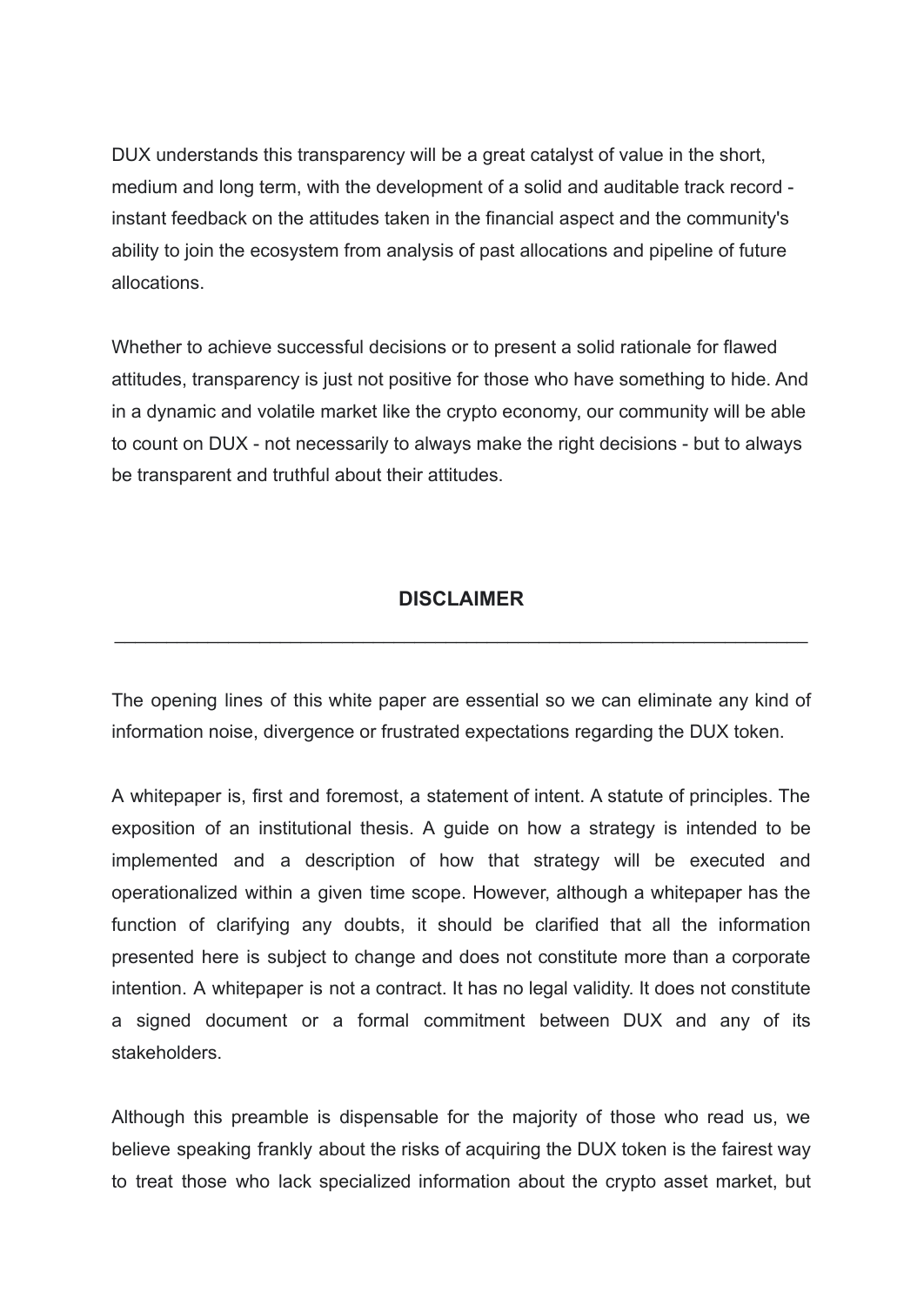DUX understands this transparency will be a great catalyst of value in the short, medium and long term, with the development of a solid and auditable track record instant feedback on the attitudes taken in the financial aspect and the community's ability to join the ecosystem from analysis of past allocations and pipeline of future allocations.

Whether to achieve successful decisions or to present a solid rationale for flawed attitudes, transparency is just not positive for those who have something to hide. And in a dynamic and volatile market like the crypto economy, our community will be able to count on DUX - not necessarily to always make the right decisions - but to always be transparent and truthful about their attitudes.

## **DISCLAIMER**

\_\_\_\_\_\_\_\_\_\_\_\_\_\_\_\_\_\_\_\_\_\_\_\_\_\_\_\_\_\_\_\_\_\_\_\_\_\_\_\_\_\_\_\_\_\_\_\_\_\_\_\_\_\_\_\_\_\_\_\_\_\_\_\_\_\_\_

The opening lines of this white paper are essential so we can eliminate any kind of information noise, divergence or frustrated expectations regarding the DUX token.

A whitepaper is, first and foremost, a statement of intent. A statute of principles. The exposition of an institutional thesis. A guide on how a strategy is intended to be implemented and a description of how that strategy will be executed and operationalized within a given time scope. However, although a whitepaper has the function of clarifying any doubts, it should be clarified that all the information presented here is subject to change and does not constitute more than a corporate intention. A whitepaper is not a contract. It has no legal validity. It does not constitute a signed document or a formal commitment between DUX and any of its stakeholders.

Although this preamble is dispensable for the majority of those who read us, we believe speaking frankly about the risks of acquiring the DUX token is the fairest way to treat those who lack specialized information about the crypto asset market, but